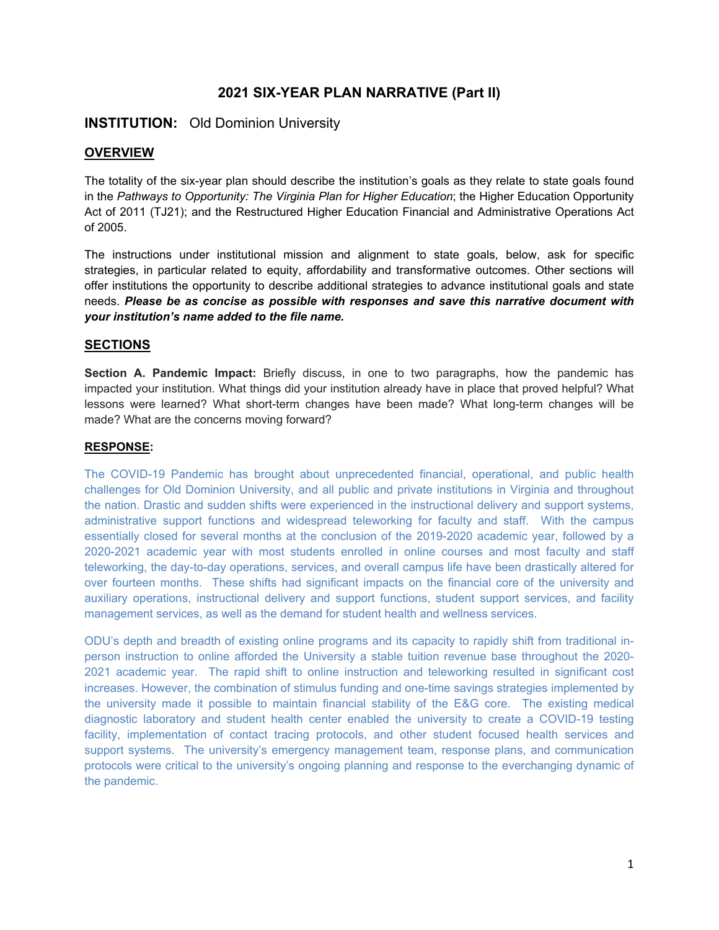# **2021 SIX-YEAR PLAN NARRATIVE (Part II)**

# **INSTITUTION:** Old Dominion University

# **OVERVIEW**

The totality of the six-year plan should describe the institution's goals as they relate to state goals found in the *Pathways to Opportunity: The Virginia Plan for Higher Education*; the Higher Education Opportunity Act of 2011 (TJ21); and the Restructured Higher Education Financial and Administrative Operations Act of 2005.

The instructions under institutional mission and alignment to state goals, below, ask for specific strategies, in particular related to equity, affordability and transformative outcomes. Other sections will offer institutions the opportunity to describe additional strategies to advance institutional goals and state needs. *Please be as concise as possible with responses and save this narrative document with your institution's name added to the file name.* 

# **SECTIONS**

**Section A. Pandemic Impact:** Briefly discuss, in one to two paragraphs, how the pandemic has impacted your institution. What things did your institution already have in place that proved helpful? What lessons were learned? What short-term changes have been made? What long-term changes will be made? What are the concerns moving forward?

## **RESPONSE:**

The COVID-19 Pandemic has brought about unprecedented financial, operational, and public health challenges for Old Dominion University, and all public and private institutions in Virginia and throughout the nation. Drastic and sudden shifts were experienced in the instructional delivery and support systems, administrative support functions and widespread teleworking for faculty and staff. With the campus essentially closed for several months at the conclusion of the 2019-2020 academic year, followed by a 2020-2021 academic year with most students enrolled in online courses and most faculty and staff teleworking, the day-to-day operations, services, and overall campus life have been drastically altered for over fourteen months. These shifts had significant impacts on the financial core of the university and auxiliary operations, instructional delivery and support functions, student support services, and facility management services, as well as the demand for student health and wellness services.

ODU's depth and breadth of existing online programs and its capacity to rapidly shift from traditional inperson instruction to online afforded the University a stable tuition revenue base throughout the 2020- 2021 academic year. The rapid shift to online instruction and teleworking resulted in significant cost increases. However, the combination of stimulus funding and one-time savings strategies implemented by the university made it possible to maintain financial stability of the E&G core. The existing medical diagnostic laboratory and student health center enabled the university to create a COVID-19 testing facility, implementation of contact tracing protocols, and other student focused health services and support systems. The university's emergency management team, response plans, and communication protocols were critical to the university's ongoing planning and response to the everchanging dynamic of the pandemic.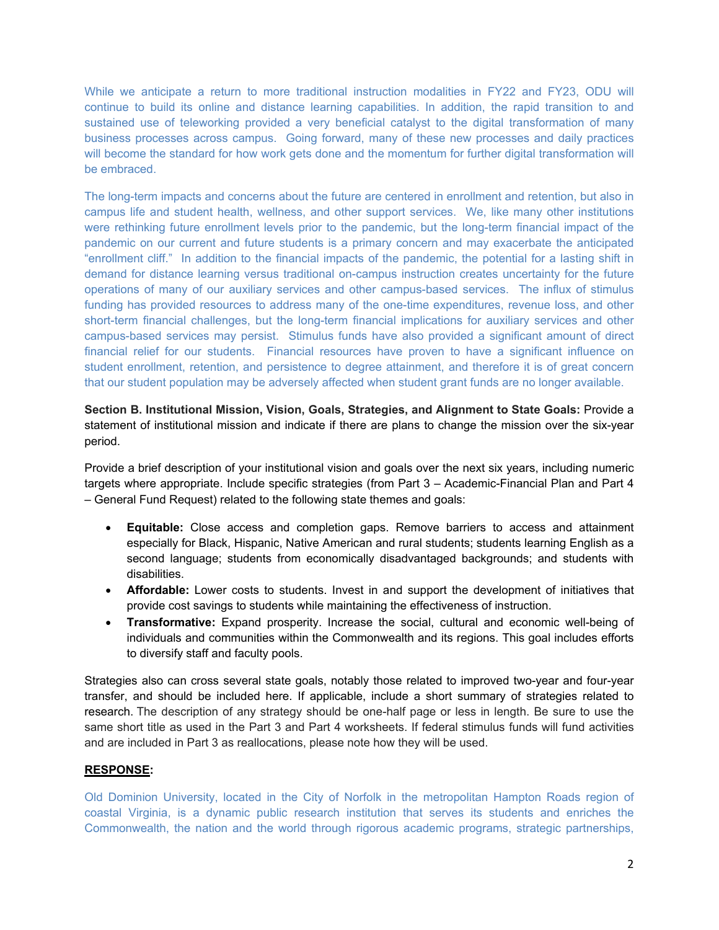While we anticipate a return to more traditional instruction modalities in FY22 and FY23, ODU will continue to build its online and distance learning capabilities. In addition, the rapid transition to and sustained use of teleworking provided a very beneficial catalyst to the digital transformation of many business processes across campus. Going forward, many of these new processes and daily practices will become the standard for how work gets done and the momentum for further digital transformation will be embraced.

The long-term impacts and concerns about the future are centered in enrollment and retention, but also in campus life and student health, wellness, and other support services. We, like many other institutions were rethinking future enrollment levels prior to the pandemic, but the long-term financial impact of the pandemic on our current and future students is a primary concern and may exacerbate the anticipated "enrollment cliff." In addition to the financial impacts of the pandemic, the potential for a lasting shift in demand for distance learning versus traditional on-campus instruction creates uncertainty for the future operations of many of our auxiliary services and other campus-based services. The influx of stimulus funding has provided resources to address many of the one-time expenditures, revenue loss, and other short-term financial challenges, but the long-term financial implications for auxiliary services and other campus-based services may persist. Stimulus funds have also provided a significant amount of direct financial relief for our students. Financial resources have proven to have a significant influence on student enrollment, retention, and persistence to degree attainment, and therefore it is of great concern that our student population may be adversely affected when student grant funds are no longer available.

# **Section B. Institutional Mission, Vision, Goals, Strategies, and Alignment to State Goals:** Provide a statement of institutional mission and indicate if there are plans to change the mission over the six-year period.

Provide a brief description of your institutional vision and goals over the next six years, including numeric targets where appropriate. Include specific strategies (from Part 3 – Academic-Financial Plan and Part 4 – General Fund Request) related to the following state themes and goals:

- **Equitable:** Close access and completion gaps. Remove barriers to access and attainment especially for Black, Hispanic, Native American and rural students; students learning English as a second language; students from economically disadvantaged backgrounds; and students with disabilities.
- **Affordable:** Lower costs to students. Invest in and support the development of initiatives that provide cost savings to students while maintaining the effectiveness of instruction.
- **Transformative:** Expand prosperity. Increase the social, cultural and economic well-being of individuals and communities within the Commonwealth and its regions. This goal includes efforts to diversify staff and faculty pools.

Strategies also can cross several state goals, notably those related to improved two-year and four-year transfer, and should be included here. If applicable, include a short summary of strategies related to research. The description of any strategy should be one-half page or less in length. Be sure to use the same short title as used in the Part 3 and Part 4 worksheets. If federal stimulus funds will fund activities and are included in Part 3 as reallocations, please note how they will be used.

## **RESPONSE:**

Old Dominion University, located in the City of Norfolk in the metropolitan Hampton Roads region of coastal Virginia, is a dynamic public research institution that serves its students and enriches the Commonwealth, the nation and the world through rigorous academic programs, strategic partnerships,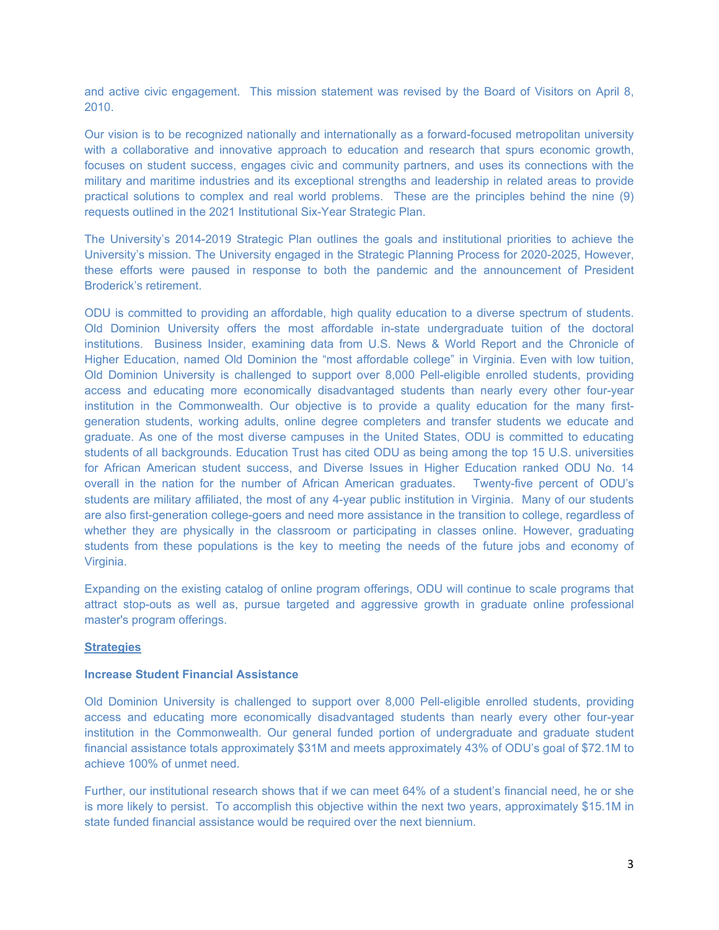and active civic engagement. This mission statement was revised by the Board of Visitors on April 8, 2010.

Our vision is to be recognized nationally and internationally as a forward-focused metropolitan university with a collaborative and innovative approach to education and research that spurs economic growth, focuses on student success, engages civic and community partners, and uses its connections with the military and maritime industries and its exceptional strengths and leadership in related areas to provide practical solutions to complex and real world problems. These are the principles behind the nine (9) requests outlined in the 2021 Institutional Six-Year Strategic Plan.

The University's 2014-2019 Strategic Plan outlines the goals and institutional priorities to achieve the University's mission. The University engaged in the Strategic Planning Process for 2020-2025, However, these efforts were paused in response to both the pandemic and the announcement of President Broderick's retirement.

ODU is committed to providing an affordable, high quality education to a diverse spectrum of students. Old Dominion University offers the most affordable in-state undergraduate tuition of the doctoral institutions. Business Insider, examining data from U.S. News & World Report and the Chronicle of Higher Education, named Old Dominion the "most affordable college" in Virginia. Even with low tuition, Old Dominion University is challenged to support over 8,000 Pell-eligible enrolled students, providing access and educating more economically disadvantaged students than nearly every other four-year institution in the Commonwealth. Our objective is to provide a quality education for the many firstgeneration students, working adults, online degree completers and transfer students we educate and graduate. As one of the most diverse campuses in the United States, ODU is committed to educating students of all backgrounds. Education Trust has cited ODU as being among the top 15 U.S. universities for African American student success, and Diverse Issues in Higher Education ranked ODU No. 14 overall in the nation for the number of African American graduates. Twenty-five percent of ODU's students are military affiliated, the most of any 4-year public institution in Virginia. Many of our students are also first-generation college-goers and need more assistance in the transition to college, regardless of whether they are physically in the classroom or participating in classes online. However, graduating students from these populations is the key to meeting the needs of the future jobs and economy of Virginia.

Expanding on the existing catalog of online program offerings, ODU will continue to scale programs that attract stop-outs as well as, pursue targeted and aggressive growth in graduate online professional master's program offerings.

#### **Strategies**

#### **Increase Student Financial Assistance**

Old Dominion University is challenged to support over 8,000 Pell-eligible enrolled students, providing access and educating more economically disadvantaged students than nearly every other four-year institution in the Commonwealth. Our general funded portion of undergraduate and graduate student financial assistance totals approximately \$31M and meets approximately 43% of ODU's goal of \$72.1M to achieve 100% of unmet need.

Further, our institutional research shows that if we can meet 64% of a student's financial need, he or she is more likely to persist. To accomplish this objective within the next two years, approximately \$15.1M in state funded financial assistance would be required over the next biennium.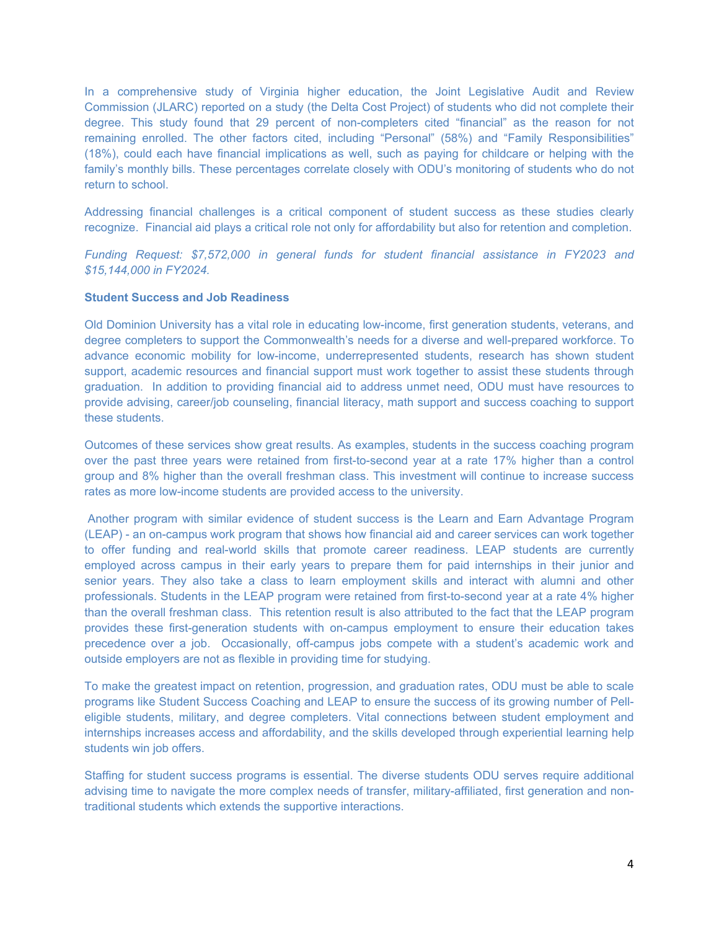In a comprehensive study of Virginia higher education, the Joint Legislative Audit and Review Commission (JLARC) reported on a study (the Delta Cost Project) of students who did not complete their degree. This study found that 29 percent of non-completers cited "financial" as the reason for not remaining enrolled. The other factors cited, including "Personal" (58%) and "Family Responsibilities" (18%), could each have financial implications as well, such as paying for childcare or helping with the family's monthly bills. These percentages correlate closely with ODU's monitoring of students who do not return to school.

Addressing financial challenges is a critical component of student success as these studies clearly recognize. Financial aid plays a critical role not only for affordability but also for retention and completion.

*Funding Request: \$7,572,000 in general funds for student financial assistance in FY2023 and \$15,144,000 in FY2024.* 

#### **Student Success and Job Readiness**

Old Dominion University has a vital role in educating low-income, first generation students, veterans, and degree completers to support the Commonwealth's needs for a diverse and well-prepared workforce. To advance economic mobility for low-income, underrepresented students, research has shown student support, academic resources and financial support must work together to assist these students through graduation. In addition to providing financial aid to address unmet need, ODU must have resources to provide advising, career/job counseling, financial literacy, math support and success coaching to support these students.

Outcomes of these services show great results. As examples, students in the success coaching program over the past three years were retained from first-to-second year at a rate 17% higher than a control group and 8% higher than the overall freshman class. This investment will continue to increase success rates as more low-income students are provided access to the university.

 Another program with similar evidence of student success is the Learn and Earn Advantage Program (LEAP) - an on-campus work program that shows how financial aid and career services can work together to offer funding and real-world skills that promote career readiness. LEAP students are currently employed across campus in their early years to prepare them for paid internships in their junior and senior years. They also take a class to learn employment skills and interact with alumni and other professionals. Students in the LEAP program were retained from first-to-second year at a rate 4% higher than the overall freshman class. This retention result is also attributed to the fact that the LEAP program provides these first-generation students with on-campus employment to ensure their education takes precedence over a job. Occasionally, off-campus jobs compete with a student's academic work and outside employers are not as flexible in providing time for studying.

To make the greatest impact on retention, progression, and graduation rates, ODU must be able to scale programs like Student Success Coaching and LEAP to ensure the success of its growing number of Pelleligible students, military, and degree completers. Vital connections between student employment and internships increases access and affordability, and the skills developed through experiential learning help students win job offers.

Staffing for student success programs is essential. The diverse students ODU serves require additional advising time to navigate the more complex needs of transfer, military-affiliated, first generation and nontraditional students which extends the supportive interactions.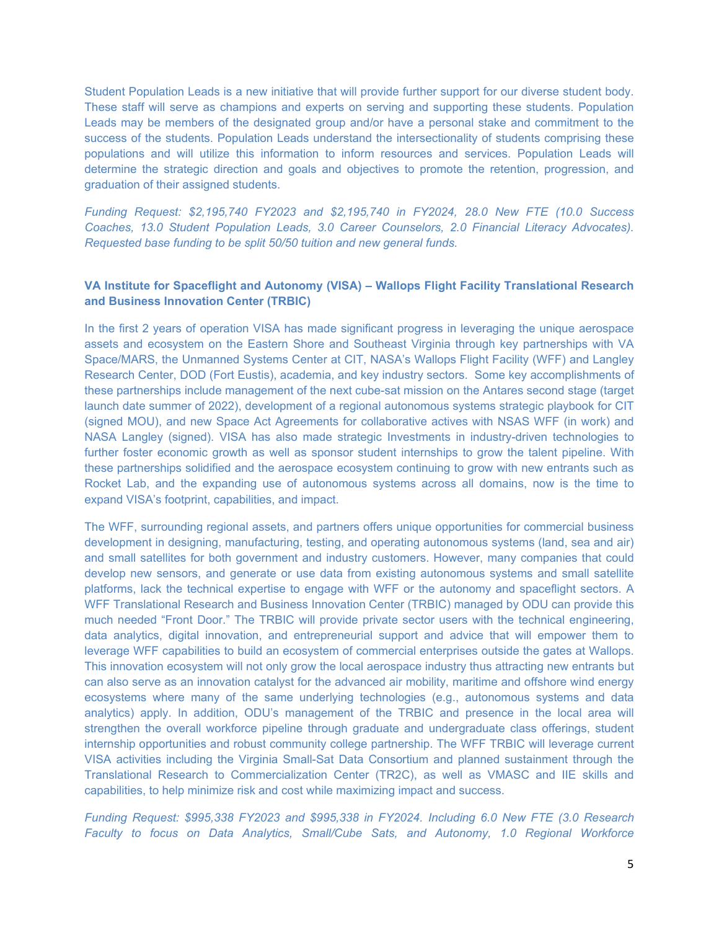Student Population Leads is a new initiative that will provide further support for our diverse student body. These staff will serve as champions and experts on serving and supporting these students. Population Leads may be members of the designated group and/or have a personal stake and commitment to the success of the students. Population Leads understand the intersectionality of students comprising these populations and will utilize this information to inform resources and services. Population Leads will determine the strategic direction and goals and objectives to promote the retention, progression, and graduation of their assigned students.

*Funding Request: \$2,195,740 FY2023 and \$2,195,740 in FY2024, 28.0 New FTE (10.0 Success Coaches, 13.0 Student Population Leads, 3.0 Career Counselors, 2.0 Financial Literacy Advocates). Requested base funding to be split 50/50 tuition and new general funds.* 

#### **VA Institute for Spaceflight and Autonomy (VISA) – Wallops Flight Facility Translational Research and Business Innovation Center (TRBIC)**

In the first 2 years of operation VISA has made significant progress in leveraging the unique aerospace assets and ecosystem on the Eastern Shore and Southeast Virginia through key partnerships with VA Space/MARS, the Unmanned Systems Center at CIT, NASA's Wallops Flight Facility (WFF) and Langley Research Center, DOD (Fort Eustis), academia, and key industry sectors. Some key accomplishments of these partnerships include management of the next cube-sat mission on the Antares second stage (target launch date summer of 2022), development of a regional autonomous systems strategic playbook for CIT (signed MOU), and new Space Act Agreements for collaborative actives with NSAS WFF (in work) and NASA Langley (signed). VISA has also made strategic Investments in industry-driven technologies to further foster economic growth as well as sponsor student internships to grow the talent pipeline. With these partnerships solidified and the aerospace ecosystem continuing to grow with new entrants such as Rocket Lab, and the expanding use of autonomous systems across all domains, now is the time to expand VISA's footprint, capabilities, and impact.

The WFF, surrounding regional assets, and partners offers unique opportunities for commercial business development in designing, manufacturing, testing, and operating autonomous systems (land, sea and air) and small satellites for both government and industry customers. However, many companies that could develop new sensors, and generate or use data from existing autonomous systems and small satellite platforms, lack the technical expertise to engage with WFF or the autonomy and spaceflight sectors. A WFF Translational Research and Business Innovation Center (TRBIC) managed by ODU can provide this much needed "Front Door." The TRBIC will provide private sector users with the technical engineering, data analytics, digital innovation, and entrepreneurial support and advice that will empower them to leverage WFF capabilities to build an ecosystem of commercial enterprises outside the gates at Wallops. This innovation ecosystem will not only grow the local aerospace industry thus attracting new entrants but can also serve as an innovation catalyst for the advanced air mobility, maritime and offshore wind energy ecosystems where many of the same underlying technologies (e.g., autonomous systems and data analytics) apply. In addition, ODU's management of the TRBIC and presence in the local area will strengthen the overall workforce pipeline through graduate and undergraduate class offerings, student internship opportunities and robust community college partnership. The WFF TRBIC will leverage current VISA activities including the Virginia Small-Sat Data Consortium and planned sustainment through the Translational Research to Commercialization Center (TR2C), as well as VMASC and IIE skills and capabilities, to help minimize risk and cost while maximizing impact and success.

*Funding Request: \$995,338 FY2023 and \$995,338 in FY2024. Including 6.0 New FTE (3.0 Research Faculty to focus on Data Analytics, Small/Cube Sats, and Autonomy, 1.0 Regional Workforce*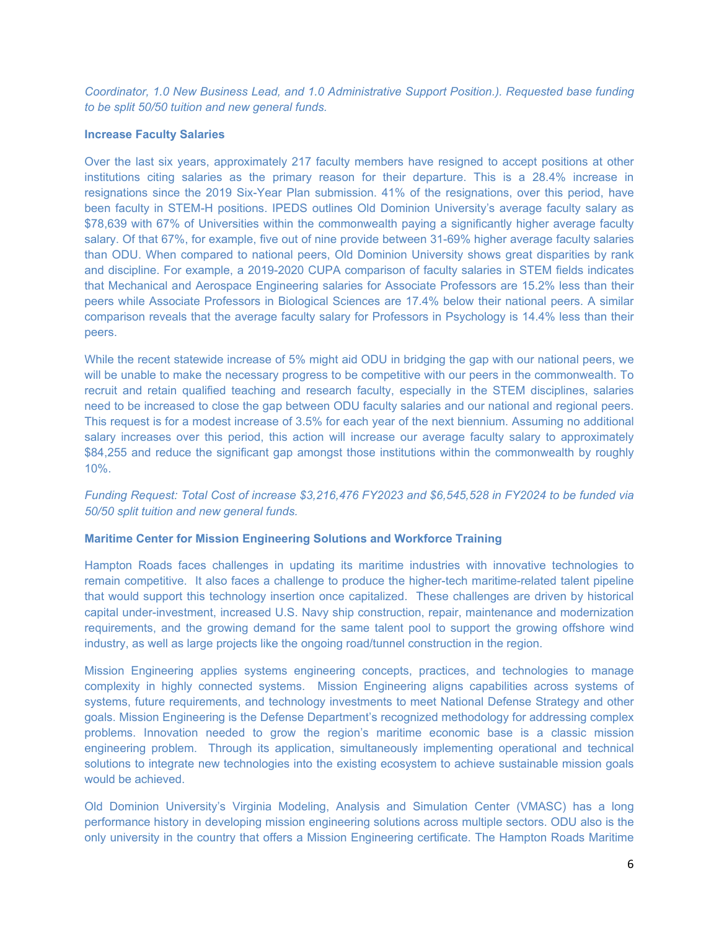*Coordinator, 1.0 New Business Lead, and 1.0 Administrative Support Position.). Requested base funding to be split 50/50 tuition and new general funds.* 

#### **Increase Faculty Salaries**

Over the last six years, approximately 217 faculty members have resigned to accept positions at other institutions citing salaries as the primary reason for their departure. This is a 28.4% increase in resignations since the 2019 Six-Year Plan submission. 41% of the resignations, over this period, have been faculty in STEM-H positions. IPEDS outlines Old Dominion University's average faculty salary as \$78,639 with 67% of Universities within the commonwealth paying a significantly higher average faculty salary. Of that 67%, for example, five out of nine provide between 31-69% higher average faculty salaries than ODU. When compared to national peers, Old Dominion University shows great disparities by rank and discipline. For example, a 2019-2020 CUPA comparison of faculty salaries in STEM fields indicates that Mechanical and Aerospace Engineering salaries for Associate Professors are 15.2% less than their peers while Associate Professors in Biological Sciences are 17.4% below their national peers. A similar comparison reveals that the average faculty salary for Professors in Psychology is 14.4% less than their peers.

While the recent statewide increase of 5% might aid ODU in bridging the gap with our national peers, we will be unable to make the necessary progress to be competitive with our peers in the commonwealth. To recruit and retain qualified teaching and research faculty, especially in the STEM disciplines, salaries need to be increased to close the gap between ODU faculty salaries and our national and regional peers. This request is for a modest increase of 3.5% for each year of the next biennium. Assuming no additional salary increases over this period, this action will increase our average faculty salary to approximately \$84,255 and reduce the significant gap amongst those institutions within the commonwealth by roughly 10%.

# *Funding Request: Total Cost of increase \$3,216,476 FY2023 and \$6,545,528 in FY2024 to be funded via 50/50 split tuition and new general funds.*

## **Maritime Center for Mission Engineering Solutions and Workforce Training**

Hampton Roads faces challenges in updating its maritime industries with innovative technologies to remain competitive. It also faces a challenge to produce the higher-tech maritime-related talent pipeline that would support this technology insertion once capitalized. These challenges are driven by historical capital under-investment, increased U.S. Navy ship construction, repair, maintenance and modernization requirements, and the growing demand for the same talent pool to support the growing offshore wind industry, as well as large projects like the ongoing road/tunnel construction in the region.

Mission Engineering applies systems engineering concepts, practices, and technologies to manage complexity in highly connected systems. Mission Engineering aligns capabilities across systems of systems, future requirements, and technology investments to meet National Defense Strategy and other goals. Mission Engineering is the Defense Department's recognized methodology for addressing complex problems. Innovation needed to grow the region's maritime economic base is a classic mission engineering problem. Through its application, simultaneously implementing operational and technical solutions to integrate new technologies into the existing ecosystem to achieve sustainable mission goals would be achieved.

Old Dominion University's Virginia Modeling, Analysis and Simulation Center (VMASC) has a long performance history in developing mission engineering solutions across multiple sectors. ODU also is the only university in the country that offers a Mission Engineering certificate. The Hampton Roads Maritime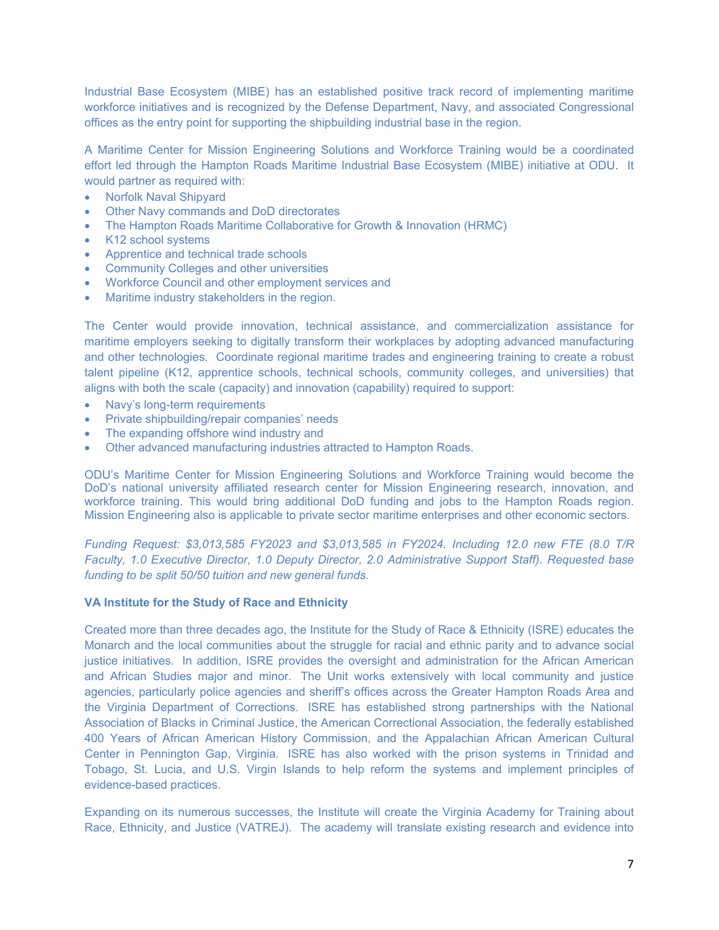Industrial Base Ecosystem (MIBE) has an established positive track record of implementing maritime workforce initiatives and is recognized by the Defense Department, Navy, and associated Congressional offices as the entry point for supporting the shipbuilding industrial base in the region.

A Maritime Center for Mission Engineering Solutions and Workforce Training would be a coordinated effort led through the Hampton Roads Maritime Industrial Base Ecosystem (MIBE) initiative at ODU. It would partner as required with:

- Norfolk Naval Shipyard
- Other Navy commands and DoD directorates
- The Hampton Roads Maritime Collaborative for Growth & Innovation (HRMC)
- K12 school systems
- Apprentice and technical trade schools
- Community Colleges and other universities
- Workforce Council and other employment services and
- Maritime industry stakeholders in the region.

The Center would provide innovation, technical assistance, and commercialization assistance for maritime employers seeking to digitally transform their workplaces by adopting advanced manufacturing and other technologies. Coordinate regional maritime trades and engineering training to create a robust talent pipeline (K12, apprentice schools, technical schools, community colleges, and universities) that aligns with both the scale (capacity) and innovation (capability) required to support:

- Navy's long-term requirements
- Private shipbuilding/repair companies' needs
- The expanding offshore wind industry and
- Other advanced manufacturing industries attracted to Hampton Roads.

ODU's Maritime Center for Mission Engineering Solutions and Workforce Training would become the DoD's national university affiliated research center for Mission Engineering research, innovation, and workforce training. This would bring additional DoD funding and jobs to the Hampton Roads region. Mission Engineering also is applicable to private sector maritime enterprises and other economic sectors.

*Funding Request: \$3,013,585 FY2023 and \$3,013,585 in FY2024. Including 12.0 new FTE (8.0 T/R Faculty, 1.0 Executive Director, 1.0 Deputy Director, 2.0 Administrative Support Staff). Requested base funding to be split 50/50 tuition and new general funds.* 

#### **VA Institute for the Study of Race and Ethnicity**

Created more than three decades ago, the Institute for the Study of Race & Ethnicity (ISRE) educates the Monarch and the local communities about the struggle for racial and ethnic parity and to advance social justice initiatives. In addition, ISRE provides the oversight and administration for the African American and African Studies major and minor. The Unit works extensively with local community and justice agencies, particularly police agencies and sheriff's offices across the Greater Hampton Roads Area and the Virginia Department of Corrections. ISRE has established strong partnerships with the National Association of Blacks in Criminal Justice, the American Correctional Association, the federally established 400 Years of African American History Commission, and the Appalachian African American Cultural Center in Pennington Gap, Virginia. ISRE has also worked with the prison systems in Trinidad and Tobago, St. Lucia, and U.S. Virgin Islands to help reform the systems and implement principles of evidence-based practices.

Expanding on its numerous successes, the Institute will create the Virginia Academy for Training about Race, Ethnicity, and Justice (VATREJ). The academy will translate existing research and evidence into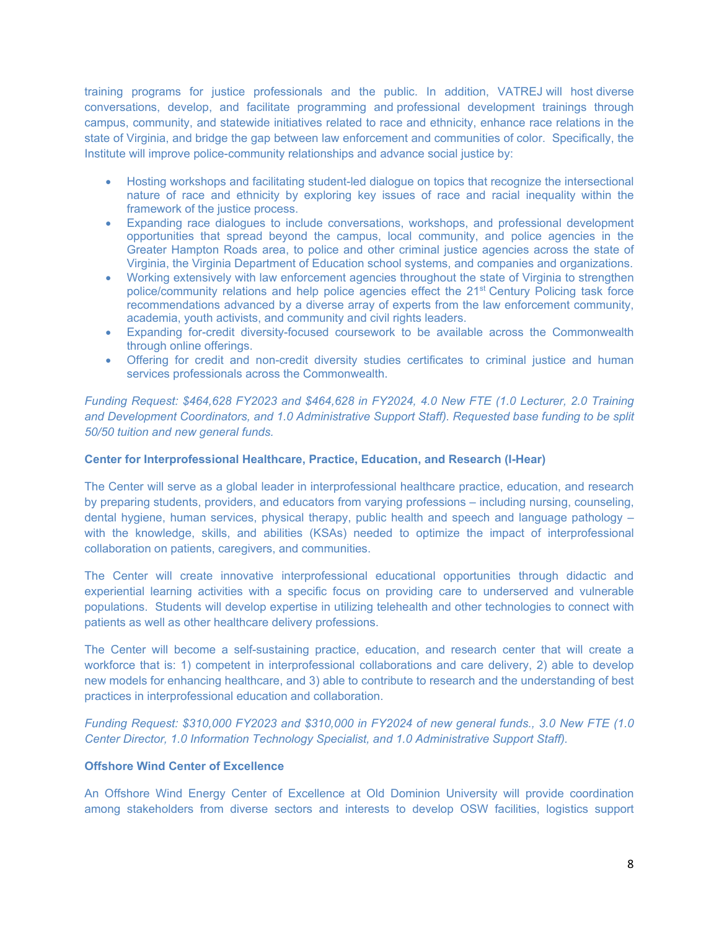training programs for justice professionals and the public. In addition, VATREJ will host diverse conversations, develop, and facilitate programming and professional development trainings through campus, community, and statewide initiatives related to race and ethnicity, enhance race relations in the state of Virginia, and bridge the gap between law enforcement and communities of color. Specifically, the Institute will improve police-community relationships and advance social justice by:

- Hosting workshops and facilitating student-led dialogue on topics that recognize the intersectional nature of race and ethnicity by exploring key issues of race and racial inequality within the framework of the justice process.
- Expanding race dialogues to include conversations, workshops, and professional development opportunities that spread beyond the campus, local community, and police agencies in the Greater Hampton Roads area, to police and other criminal justice agencies across the state of Virginia, the Virginia Department of Education school systems, and companies and organizations.
- Working extensively with law enforcement agencies throughout the state of Virginia to strengthen police/community relations and help police agencies effect the 21<sup>st</sup> Century Policing task force recommendations advanced by a diverse array of experts from the law enforcement community, academia, youth activists, and community and civil rights leaders.
- Expanding for-credit diversity-focused coursework to be available across the Commonwealth through online offerings.
- Offering for credit and non-credit diversity studies certificates to criminal justice and human services professionals across the Commonwealth.

*Funding Request: \$464,628 FY2023 and \$464,628 in FY2024, 4.0 New FTE (1.0 Lecturer, 2.0 Training and Development Coordinators, and 1.0 Administrative Support Staff). Requested base funding to be split 50/50 tuition and new general funds.* 

#### **Center for Interprofessional Healthcare, Practice, Education, and Research (I-Hear)**

The Center will serve as a global leader in interprofessional healthcare practice, education, and research by preparing students, providers, and educators from varying professions – including nursing, counseling, dental hygiene, human services, physical therapy, public health and speech and language pathology – with the knowledge, skills, and abilities (KSAs) needed to optimize the impact of interprofessional collaboration on patients, caregivers, and communities.

The Center will create innovative interprofessional educational opportunities through didactic and experiential learning activities with a specific focus on providing care to underserved and vulnerable populations. Students will develop expertise in utilizing telehealth and other technologies to connect with patients as well as other healthcare delivery professions.

The Center will become a self-sustaining practice, education, and research center that will create a workforce that is: 1) competent in interprofessional collaborations and care delivery, 2) able to develop new models for enhancing healthcare, and 3) able to contribute to research and the understanding of best practices in interprofessional education and collaboration.

*Funding Request: \$310,000 FY2023 and \$310,000 in FY2024 of new general funds., 3.0 New FTE (1.0 Center Director, 1.0 Information Technology Specialist, and 1.0 Administrative Support Staff).* 

#### **Offshore Wind Center of Excellence**

An Offshore Wind Energy Center of Excellence at Old Dominion University will provide coordination among stakeholders from diverse sectors and interests to develop OSW facilities, logistics support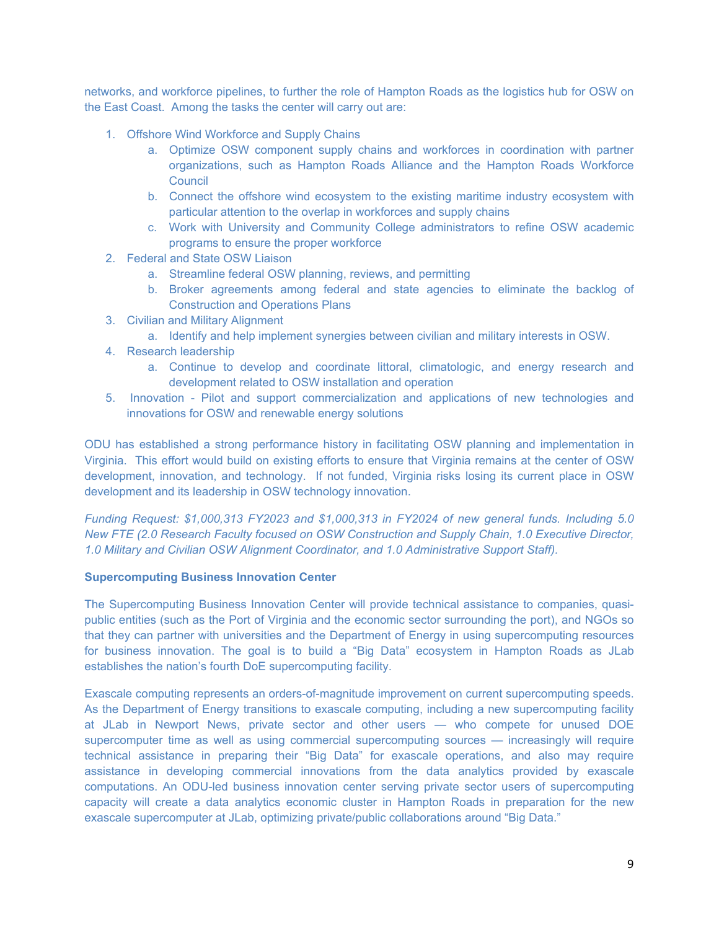networks, and workforce pipelines, to further the role of Hampton Roads as the logistics hub for OSW on the East Coast. Among the tasks the center will carry out are:

- 1. Offshore Wind Workforce and Supply Chains
	- a. Optimize OSW component supply chains and workforces in coordination with partner organizations, such as Hampton Roads Alliance and the Hampton Roads Workforce **Council**
	- b. Connect the offshore wind ecosystem to the existing maritime industry ecosystem with particular attention to the overlap in workforces and supply chains
	- c. Work with University and Community College administrators to refine OSW academic programs to ensure the proper workforce
- 2. Federal and State OSW Liaison
	- a. Streamline federal OSW planning, reviews, and permitting
	- b. Broker agreements among federal and state agencies to eliminate the backlog of Construction and Operations Plans
- 3. Civilian and Military Alignment
	- a. Identify and help implement synergies between civilian and military interests in OSW.
- 4. Research leadership
	- a. Continue to develop and coordinate littoral, climatologic, and energy research and development related to OSW installation and operation
- 5. Innovation Pilot and support commercialization and applications of new technologies and innovations for OSW and renewable energy solutions

ODU has established a strong performance history in facilitating OSW planning and implementation in Virginia. This effort would build on existing efforts to ensure that Virginia remains at the center of OSW development, innovation, and technology. If not funded, Virginia risks losing its current place in OSW development and its leadership in OSW technology innovation.

*Funding Request: \$1,000,313 FY2023 and \$1,000,313 in FY2024 of new general funds. Including 5.0 New FTE (2.0 Research Faculty focused on OSW Construction and Supply Chain, 1.0 Executive Director, 1.0 Military and Civilian OSW Alignment Coordinator, and 1.0 Administrative Support Staff).* 

#### **Supercomputing Business Innovation Center**

The Supercomputing Business Innovation Center will provide technical assistance to companies, quasipublic entities (such as the Port of Virginia and the economic sector surrounding the port), and NGOs so that they can partner with universities and the Department of Energy in using supercomputing resources for business innovation. The goal is to build a "Big Data" ecosystem in Hampton Roads as JLab establishes the nation's fourth DoE supercomputing facility.

Exascale computing represents an orders-of-magnitude improvement on current supercomputing speeds. As the Department of Energy transitions to exascale computing, including a new supercomputing facility at JLab in Newport News, private sector and other users — who compete for unused DOE supercomputer time as well as using commercial supercomputing sources — increasingly will require technical assistance in preparing their "Big Data" for exascale operations, and also may require assistance in developing commercial innovations from the data analytics provided by exascale computations. An ODU-led business innovation center serving private sector users of supercomputing capacity will create a data analytics economic cluster in Hampton Roads in preparation for the new exascale supercomputer at JLab, optimizing private/public collaborations around "Big Data."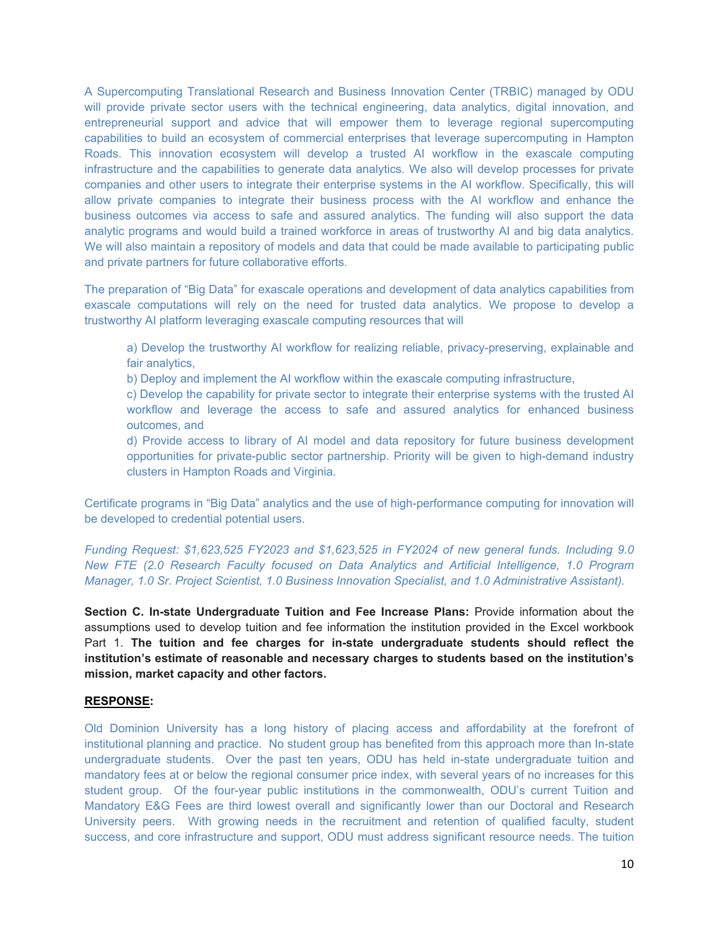A Supercomputing Translational Research and Business Innovation Center (TRBIC) managed by ODU will provide private sector users with the technical engineering, data analytics, digital innovation, and entrepreneurial support and advice that will empower them to leverage regional supercomputing capabilities to build an ecosystem of commercial enterprises that leverage supercomputing in Hampton Roads. This innovation ecosystem will develop a trusted AI workflow in the exascale computing infrastructure and the capabilities to generate data analytics. We also will develop processes for private companies and other users to integrate their enterprise systems in the AI workflow. Specifically, this will allow private companies to integrate their business process with the AI workflow and enhance the business outcomes via access to safe and assured analytics. The funding will also support the data analytic programs and would build a trained workforce in areas of trustworthy AI and big data analytics. We will also maintain a repository of models and data that could be made available to participating public and private partners for future collaborative efforts.

The preparation of "Big Data" for exascale operations and development of data analytics capabilities from exascale computations will rely on the need for trusted data analytics. We propose to develop a trustworthy AI platform leveraging exascale computing resources that will

a) Develop the trustworthy AI workflow for realizing reliable, privacy-preserving, explainable and fair analytics,

b) Deploy and implement the AI workflow within the exascale computing infrastructure,

c) Develop the capability for private sector to integrate their enterprise systems with the trusted AI workflow and leverage the access to safe and assured analytics for enhanced business outcomes, and

d) Provide access to library of AI model and data repository for future business development opportunities for private-public sector partnership. Priority will be given to high-demand industry clusters in Hampton Roads and Virginia.

Certificate programs in "Big Data" analytics and the use of high-performance computing for innovation will be developed to credential potential users.

*Funding Request: \$1,623,525 FY2023 and \$1,623,525 in FY2024 of new general funds. Including 9.0 New FTE (2.0 Research Faculty focused on Data Analytics and Artificial Intelligence, 1.0 Program Manager, 1.0 Sr. Project Scientist, 1.0 Business Innovation Specialist, and 1.0 Administrative Assistant).* 

**Section C. In-state Undergraduate Tuition and Fee Increase Plans:** Provide information about the assumptions used to develop tuition and fee information the institution provided in the Excel workbook Part 1. **The tuition and fee charges for in-state undergraduate students should reflect the institution's estimate of reasonable and necessary charges to students based on the institution's mission, market capacity and other factors.** 

#### **RESPONSE:**

Old Dominion University has a long history of placing access and affordability at the forefront of institutional planning and practice. No student group has benefited from this approach more than In-state undergraduate students. Over the past ten years, ODU has held in-state undergraduate tuition and mandatory fees at or below the regional consumer price index, with several years of no increases for this student group. Of the four-year public institutions in the commonwealth, ODU's current Tuition and Mandatory E&G Fees are third lowest overall and significantly lower than our Doctoral and Research University peers. With growing needs in the recruitment and retention of qualified faculty, student success, and core infrastructure and support, ODU must address significant resource needs. The tuition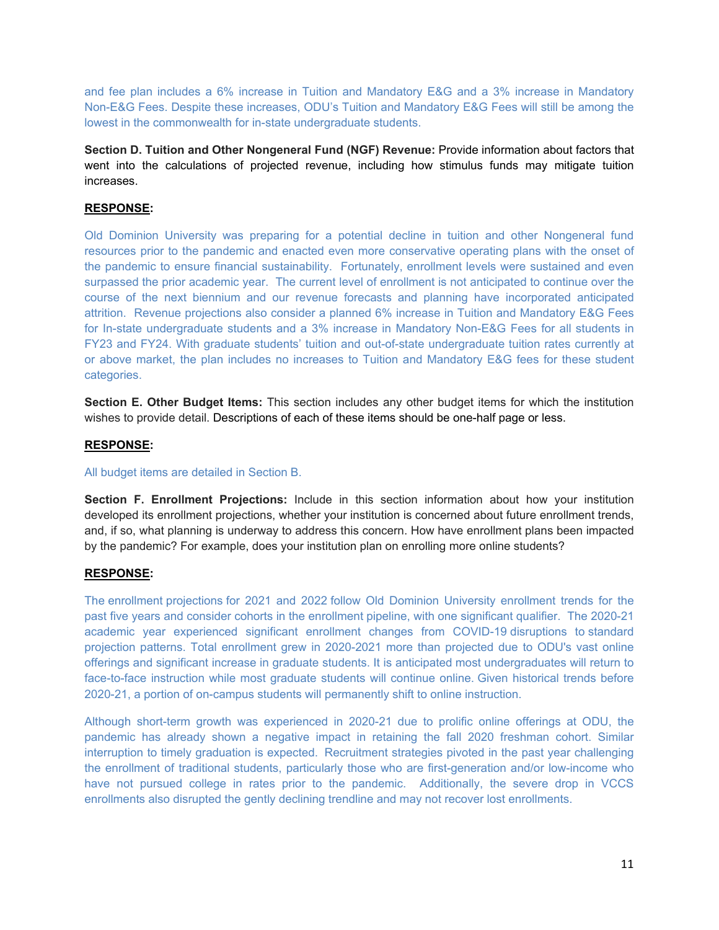and fee plan includes a 6% increase in Tuition and Mandatory E&G and a 3% increase in Mandatory Non-E&G Fees. Despite these increases, ODU's Tuition and Mandatory E&G Fees will still be among the lowest in the commonwealth for in-state undergraduate students.

**Section D. Tuition and Other Nongeneral Fund (NGF) Revenue:** Provide information about factors that went into the calculations of projected revenue, including how stimulus funds may mitigate tuition increases.

#### **RESPONSE:**

Old Dominion University was preparing for a potential decline in tuition and other Nongeneral fund resources prior to the pandemic and enacted even more conservative operating plans with the onset of the pandemic to ensure financial sustainability. Fortunately, enrollment levels were sustained and even surpassed the prior academic year. The current level of enrollment is not anticipated to continue over the course of the next biennium and our revenue forecasts and planning have incorporated anticipated attrition. Revenue projections also consider a planned 6% increase in Tuition and Mandatory E&G Fees for In-state undergraduate students and a 3% increase in Mandatory Non-E&G Fees for all students in FY23 and FY24. With graduate students' tuition and out-of-state undergraduate tuition rates currently at or above market, the plan includes no increases to Tuition and Mandatory E&G fees for these student categories.

**Section E. Other Budget Items:** This section includes any other budget items for which the institution wishes to provide detail. Descriptions of each of these items should be one-half page or less.

#### **RESPONSE:**

#### All budget items are detailed in Section B.

**Section F. Enrollment Projections:** Include in this section information about how your institution developed its enrollment projections, whether your institution is concerned about future enrollment trends, and, if so, what planning is underway to address this concern. How have enrollment plans been impacted by the pandemic? For example, does your institution plan on enrolling more online students?

#### **RESPONSE:**

The enrollment projections for 2021 and 2022 follow Old Dominion University enrollment trends for the past five years and consider cohorts in the enrollment pipeline, with one significant qualifier. The 2020-21 academic year experienced significant enrollment changes from COVID-19 disruptions to standard projection patterns. Total enrollment grew in 2020-2021 more than projected due to ODU's vast online offerings and significant increase in graduate students. It is anticipated most undergraduates will return to face-to-face instruction while most graduate students will continue online. Given historical trends before 2020-21, a portion of on-campus students will permanently shift to online instruction.

Although short-term growth was experienced in 2020-21 due to prolific online offerings at ODU, the pandemic has already shown a negative impact in retaining the fall 2020 freshman cohort. Similar interruption to timely graduation is expected. Recruitment strategies pivoted in the past year challenging the enrollment of traditional students, particularly those who are first-generation and/or low-income who have not pursued college in rates prior to the pandemic. Additionally, the severe drop in VCCS enrollments also disrupted the gently declining trendline and may not recover lost enrollments.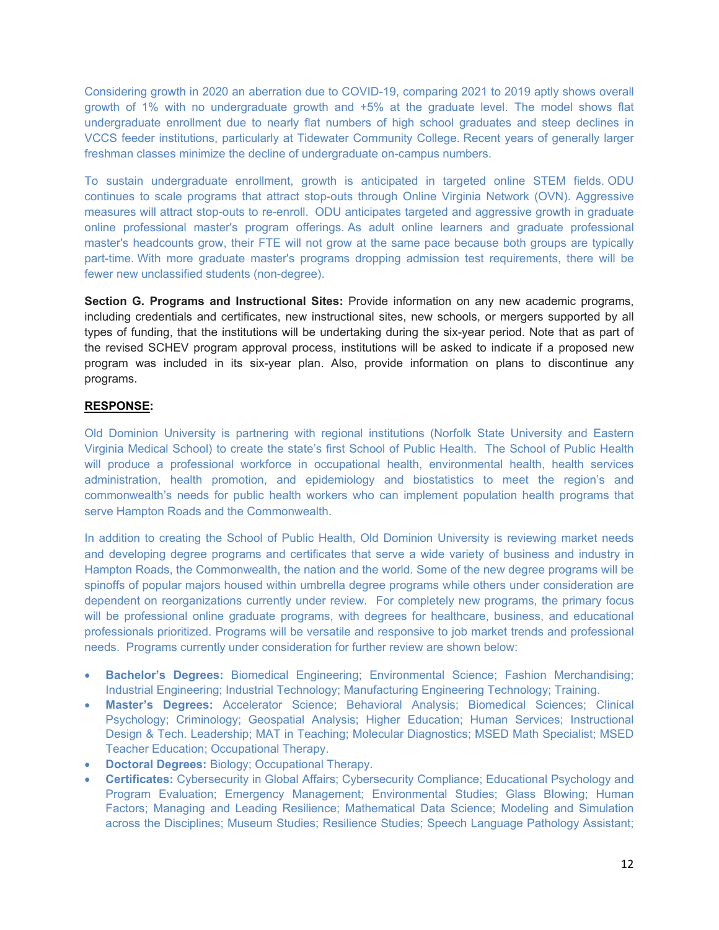Considering growth in 2020 an aberration due to COVID-19, comparing 2021 to 2019 aptly shows overall growth of 1% with no undergraduate growth and +5% at the graduate level. The model shows flat undergraduate enrollment due to nearly flat numbers of high school graduates and steep declines in VCCS feeder institutions, particularly at Tidewater Community College. Recent years of generally larger freshman classes minimize the decline of undergraduate on-campus numbers.

To sustain undergraduate enrollment, growth is anticipated in targeted online STEM fields. ODU continues to scale programs that attract stop-outs through Online Virginia Network (OVN). Aggressive measures will attract stop-outs to re-enroll. ODU anticipates targeted and aggressive growth in graduate online professional master's program offerings. As adult online learners and graduate professional master's headcounts grow, their FTE will not grow at the same pace because both groups are typically part-time. With more graduate master's programs dropping admission test requirements, there will be fewer new unclassified students (non-degree).

**Section G. Programs and Instructional Sites:** Provide information on any new academic programs, including credentials and certificates, new instructional sites, new schools, or mergers supported by all types of funding, that the institutions will be undertaking during the six-year period. Note that as part of the revised SCHEV program approval process, institutions will be asked to indicate if a proposed new program was included in its six-year plan. Also, provide information on plans to discontinue any programs.

## **RESPONSE:**

Old Dominion University is partnering with regional institutions (Norfolk State University and Eastern Virginia Medical School) to create the state's first School of Public Health. The School of Public Health will produce a professional workforce in occupational health, environmental health, health services administration, health promotion, and epidemiology and biostatistics to meet the region's and commonwealth's needs for public health workers who can implement population health programs that serve Hampton Roads and the Commonwealth.

In addition to creating the School of Public Health, Old Dominion University is reviewing market needs and developing degree programs and certificates that serve a wide variety of business and industry in Hampton Roads, the Commonwealth, the nation and the world. Some of the new degree programs will be spinoffs of popular majors housed within umbrella degree programs while others under consideration are dependent on reorganizations currently under review. For completely new programs, the primary focus will be professional online graduate programs, with degrees for healthcare, business, and educational professionals prioritized. Programs will be versatile and responsive to job market trends and professional needs. Programs currently under consideration for further review are shown below:

- **Bachelor's Degrees:** Biomedical Engineering; Environmental Science; Fashion Merchandising; Industrial Engineering; Industrial Technology; Manufacturing Engineering Technology; Training.
- **Master's Degrees:** Accelerator Science; Behavioral Analysis; Biomedical Sciences; Clinical Psychology; Criminology; Geospatial Analysis; Higher Education; Human Services; Instructional Design & Tech. Leadership; MAT in Teaching; Molecular Diagnostics; MSED Math Specialist; MSED Teacher Education; Occupational Therapy.
- **Doctoral Degrees:** Biology; Occupational Therapy.
- **Certificates:** Cybersecurity in Global Affairs; Cybersecurity Compliance; Educational Psychology and Program Evaluation; Emergency Management; Environmental Studies; Glass Blowing; Human Factors; Managing and Leading Resilience; Mathematical Data Science; Modeling and Simulation across the Disciplines; Museum Studies; Resilience Studies; Speech Language Pathology Assistant;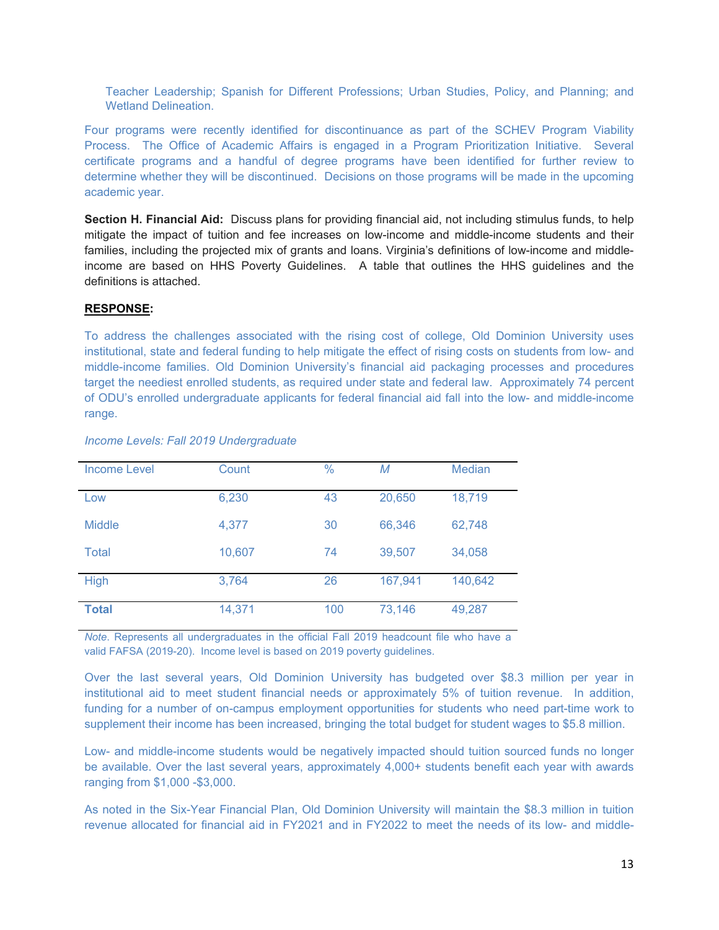Teacher Leadership; Spanish for Different Professions; Urban Studies, Policy, and Planning; and Wetland Delineation.

Four programs were recently identified for discontinuance as part of the SCHEV Program Viability Process. The Office of Academic Affairs is engaged in a Program Prioritization Initiative. Several certificate programs and a handful of degree programs have been identified for further review to determine whether they will be discontinued. Decisions on those programs will be made in the upcoming academic year.

**Section H. Financial Aid:** Discuss plans for providing financial aid, not including stimulus funds, to help mitigate the impact of tuition and fee increases on low-income and middle-income students and their families, including the projected mix of grants and loans. Virginia's definitions of low-income and middleincome are based on HHS Poverty Guidelines. A table that outlines the HHS guidelines and the definitions is attached.

#### **RESPONSE:**

To address the challenges associated with the rising cost of college, Old Dominion University uses institutional, state and federal funding to help mitigate the effect of rising costs on students from low- and middle-income families. Old Dominion University's financial aid packaging processes and procedures target the neediest enrolled students, as required under state and federal law. Approximately 74 percent of ODU's enrolled undergraduate applicants for federal financial aid fall into the low- and middle-income range.

| Income Level  | Count  | $\%$ | M       | <b>Median</b> |
|---------------|--------|------|---------|---------------|
| Low           | 6,230  | 43   | 20,650  | 18,719        |
| <b>Middle</b> | 4,377  | 30   | 66,346  | 62,748        |
| Total         | 10,607 | 74   | 39,507  | 34,058        |
| <b>High</b>   | 3,764  | 26   | 167,941 | 140,642       |
| <b>Total</b>  | 14,371 | 100  | 73,146  | 49,287        |

*Income Levels: Fall 2019 Undergraduate*

*Note*. Represents all undergraduates in the official Fall 2019 headcount file who have a valid FAFSA (2019-20). Income level is based on 2019 poverty guidelines.

Over the last several years, Old Dominion University has budgeted over \$8.3 million per year in institutional aid to meet student financial needs or approximately 5% of tuition revenue. In addition, funding for a number of on-campus employment opportunities for students who need part-time work to supplement their income has been increased, bringing the total budget for student wages to \$5.8 million.

Low- and middle-income students would be negatively impacted should tuition sourced funds no longer be available. Over the last several years, approximately 4,000+ students benefit each year with awards ranging from \$1,000 -\$3,000.

As noted in the Six-Year Financial Plan, Old Dominion University will maintain the \$8.3 million in tuition revenue allocated for financial aid in FY2021 and in FY2022 to meet the needs of its low- and middle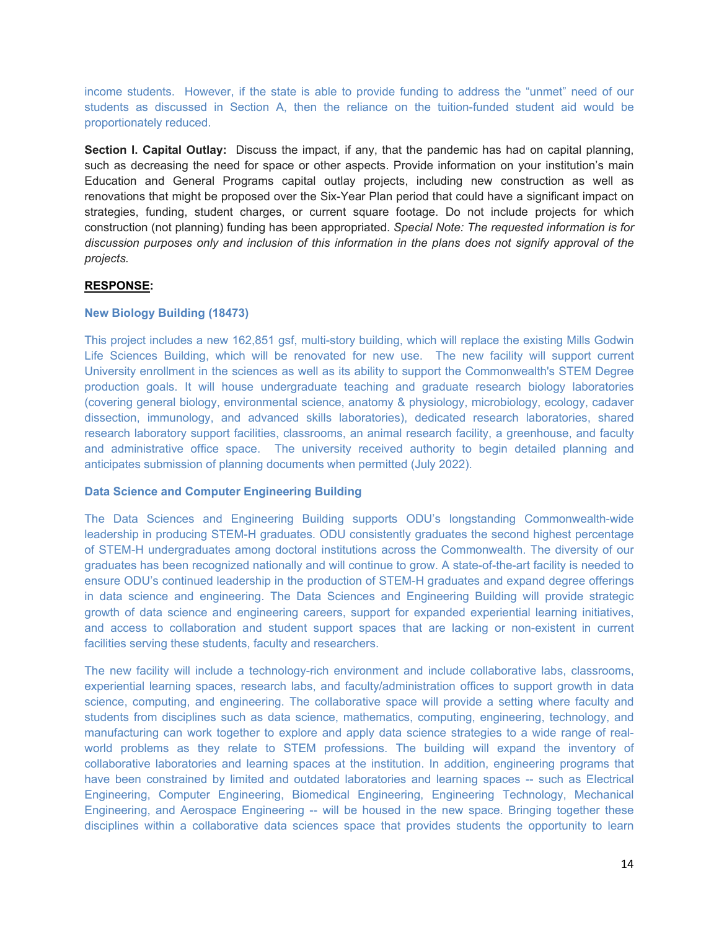income students. However, if the state is able to provide funding to address the "unmet" need of our students as discussed in Section A, then the reliance on the tuition-funded student aid would be proportionately reduced.

**Section I. Capital Outlay:** Discuss the impact, if any, that the pandemic has had on capital planning, such as decreasing the need for space or other aspects. Provide information on your institution's main Education and General Programs capital outlay projects, including new construction as well as renovations that might be proposed over the Six-Year Plan period that could have a significant impact on strategies, funding, student charges, or current square footage. Do not include projects for which construction (not planning) funding has been appropriated. *Special Note: The requested information is for discussion purposes only and inclusion of this information in the plans does not signify approval of the projects.* 

#### **RESPONSE:**

#### **New Biology Building (18473)**

This project includes a new 162,851 gsf, multi-story building, which will replace the existing Mills Godwin Life Sciences Building, which will be renovated for new use. The new facility will support current University enrollment in the sciences as well as its ability to support the Commonwealth's STEM Degree production goals. It will house undergraduate teaching and graduate research biology laboratories (covering general biology, environmental science, anatomy & physiology, microbiology, ecology, cadaver dissection, immunology, and advanced skills laboratories), dedicated research laboratories, shared research laboratory support facilities, classrooms, an animal research facility, a greenhouse, and faculty and administrative office space. The university received authority to begin detailed planning and anticipates submission of planning documents when permitted (July 2022).

## **Data Science and Computer Engineering Building**

The Data Sciences and Engineering Building supports ODU's longstanding Commonwealth-wide leadership in producing STEM-H graduates. ODU consistently graduates the second highest percentage of STEM-H undergraduates among doctoral institutions across the Commonwealth. The diversity of our graduates has been recognized nationally and will continue to grow. A state-of-the-art facility is needed to ensure ODU's continued leadership in the production of STEM-H graduates and expand degree offerings in data science and engineering. The Data Sciences and Engineering Building will provide strategic growth of data science and engineering careers, support for expanded experiential learning initiatives, and access to collaboration and student support spaces that are lacking or non-existent in current facilities serving these students, faculty and researchers.

The new facility will include a technology-rich environment and include collaborative labs, classrooms, experiential learning spaces, research labs, and faculty/administration offices to support growth in data science, computing, and engineering. The collaborative space will provide a setting where faculty and students from disciplines such as data science, mathematics, computing, engineering, technology, and manufacturing can work together to explore and apply data science strategies to a wide range of realworld problems as they relate to STEM professions. The building will expand the inventory of collaborative laboratories and learning spaces at the institution. In addition, engineering programs that have been constrained by limited and outdated laboratories and learning spaces -- such as Electrical Engineering, Computer Engineering, Biomedical Engineering, Engineering Technology, Mechanical Engineering, and Aerospace Engineering -- will be housed in the new space. Bringing together these disciplines within a collaborative data sciences space that provides students the opportunity to learn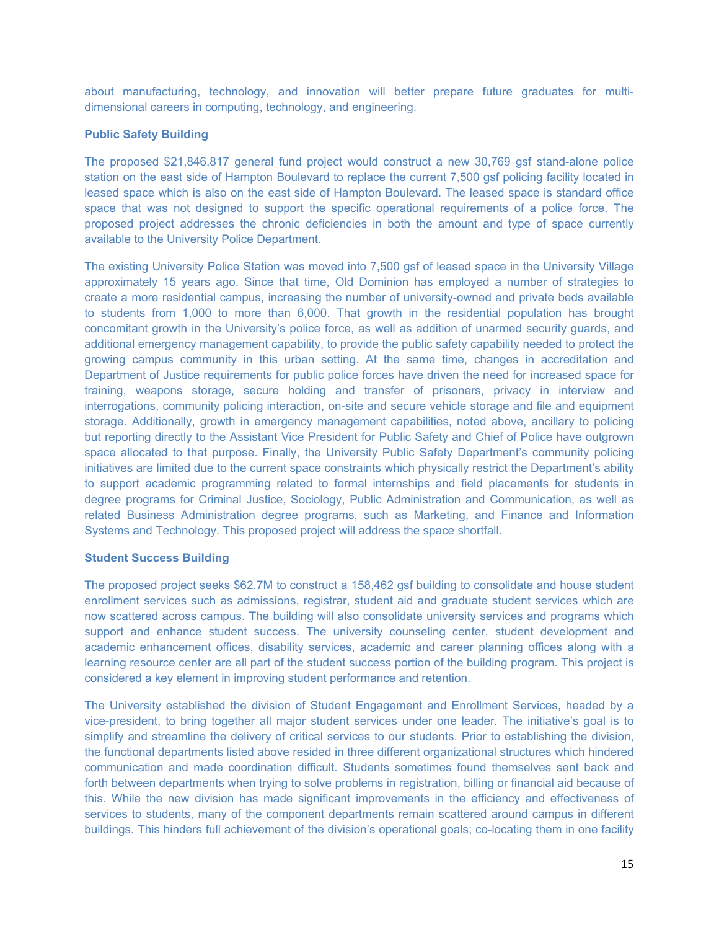about manufacturing, technology, and innovation will better prepare future graduates for multidimensional careers in computing, technology, and engineering.

## **Public Safety Building**

The proposed \$21,846,817 general fund project would construct a new 30,769 gsf stand-alone police station on the east side of Hampton Boulevard to replace the current 7,500 gsf policing facility located in leased space which is also on the east side of Hampton Boulevard. The leased space is standard office space that was not designed to support the specific operational requirements of a police force. The proposed project addresses the chronic deficiencies in both the amount and type of space currently available to the University Police Department.

The existing University Police Station was moved into 7,500 gsf of leased space in the University Village approximately 15 years ago. Since that time, Old Dominion has employed a number of strategies to create a more residential campus, increasing the number of university-owned and private beds available to students from 1,000 to more than 6,000. That growth in the residential population has brought concomitant growth in the University's police force, as well as addition of unarmed security guards, and additional emergency management capability, to provide the public safety capability needed to protect the growing campus community in this urban setting. At the same time, changes in accreditation and Department of Justice requirements for public police forces have driven the need for increased space for training, weapons storage, secure holding and transfer of prisoners, privacy in interview and interrogations, community policing interaction, on-site and secure vehicle storage and file and equipment storage. Additionally, growth in emergency management capabilities, noted above, ancillary to policing but reporting directly to the Assistant Vice President for Public Safety and Chief of Police have outgrown space allocated to that purpose. Finally, the University Public Safety Department's community policing initiatives are limited due to the current space constraints which physically restrict the Department's ability to support academic programming related to formal internships and field placements for students in degree programs for Criminal Justice, Sociology, Public Administration and Communication, as well as related Business Administration degree programs, such as Marketing, and Finance and Information Systems and Technology. This proposed project will address the space shortfall.

#### **Student Success Building**

The proposed project seeks \$62.7M to construct a 158,462 gsf building to consolidate and house student enrollment services such as admissions, registrar, student aid and graduate student services which are now scattered across campus. The building will also consolidate university services and programs which support and enhance student success. The university counseling center, student development and academic enhancement offices, disability services, academic and career planning offices along with a learning resource center are all part of the student success portion of the building program. This project is considered a key element in improving student performance and retention.

The University established the division of Student Engagement and Enrollment Services, headed by a vice-president, to bring together all major student services under one leader. The initiative's goal is to simplify and streamline the delivery of critical services to our students. Prior to establishing the division, the functional departments listed above resided in three different organizational structures which hindered communication and made coordination difficult. Students sometimes found themselves sent back and forth between departments when trying to solve problems in registration, billing or financial aid because of this. While the new division has made significant improvements in the efficiency and effectiveness of services to students, many of the component departments remain scattered around campus in different buildings. This hinders full achievement of the division's operational goals; co-locating them in one facility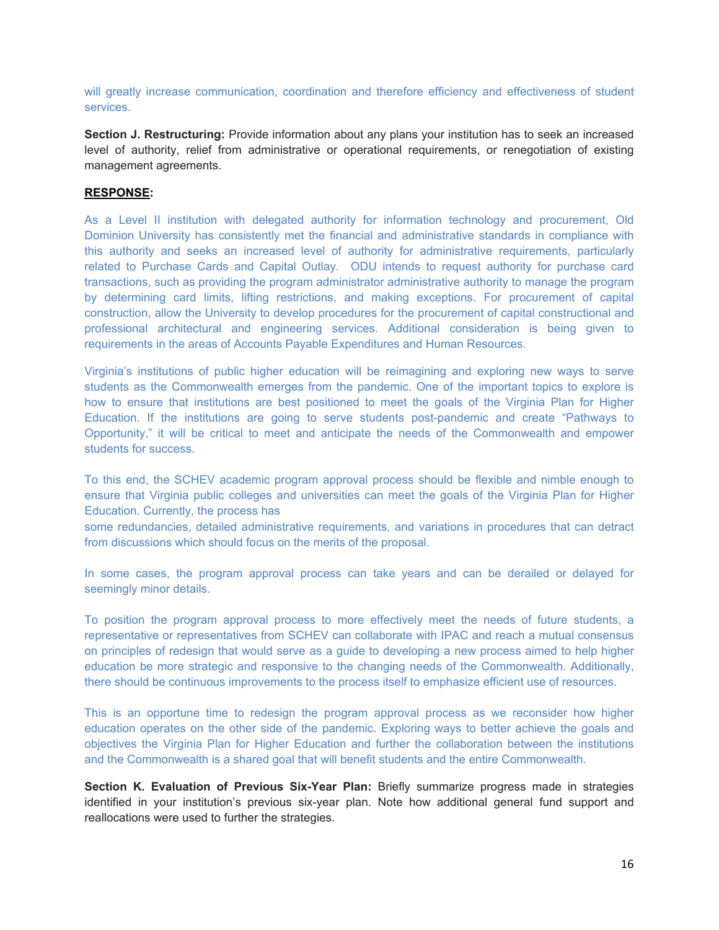will greatly increase communication, coordination and therefore efficiency and effectiveness of student services.

**Section J. Restructuring:** Provide information about any plans your institution has to seek an increased level of authority, relief from administrative or operational requirements, or renegotiation of existing management agreements.

#### **RESPONSE:**

As a Level II institution with delegated authority for information technology and procurement, Old Dominion University has consistently met the financial and administrative standards in compliance with this authority and seeks an increased level of authority for administrative requirements, particularly related to Purchase Cards and Capital Outlay. ODU intends to request authority for purchase card transactions, such as providing the program administrator administrative authority to manage the program by determining card limits, lifting restrictions, and making exceptions. For procurement of capital construction, allow the University to develop procedures for the procurement of capital constructional and professional architectural and engineering services. Additional consideration is being given to requirements in the areas of Accounts Payable Expenditures and Human Resources.

Virginia's institutions of public higher education will be reimagining and exploring new ways to serve students as the Commonwealth emerges from the pandemic. One of the important topics to explore is how to ensure that institutions are best positioned to meet the goals of the Virginia Plan for Higher Education. If the institutions are going to serve students post-pandemic and create "Pathways to Opportunity," it will be critical to meet and anticipate the needs of the Commonwealth and empower students for success.

To this end, the SCHEV academic program approval process should be flexible and nimble enough to ensure that Virginia public colleges and universities can meet the goals of the Virginia Plan for Higher Education. Currently, the process has

some redundancies, detailed administrative requirements, and variations in procedures that can detract from discussions which should focus on the merits of the proposal.

In some cases, the program approval process can take years and can be derailed or delayed for seemingly minor details.

To position the program approval process to more effectively meet the needs of future students, a representative or representatives from SCHEV can collaborate with IPAC and reach a mutual consensus on principles of redesign that would serve as a guide to developing a new process aimed to help higher education be more strategic and responsive to the changing needs of the Commonwealth. Additionally, there should be continuous improvements to the process itself to emphasize efficient use of resources.

This is an opportune time to redesign the program approval process as we reconsider how higher education operates on the other side of the pandemic. Exploring ways to better achieve the goals and objectives the Virginia Plan for Higher Education and further the collaboration between the institutions and the Commonwealth is a shared goal that will benefit students and the entire Commonwealth.

**Section K. Evaluation of Previous Six-Year Plan:** Briefly summarize progress made in strategies identified in your institution's previous six-year plan. Note how additional general fund support and reallocations were used to further the strategies.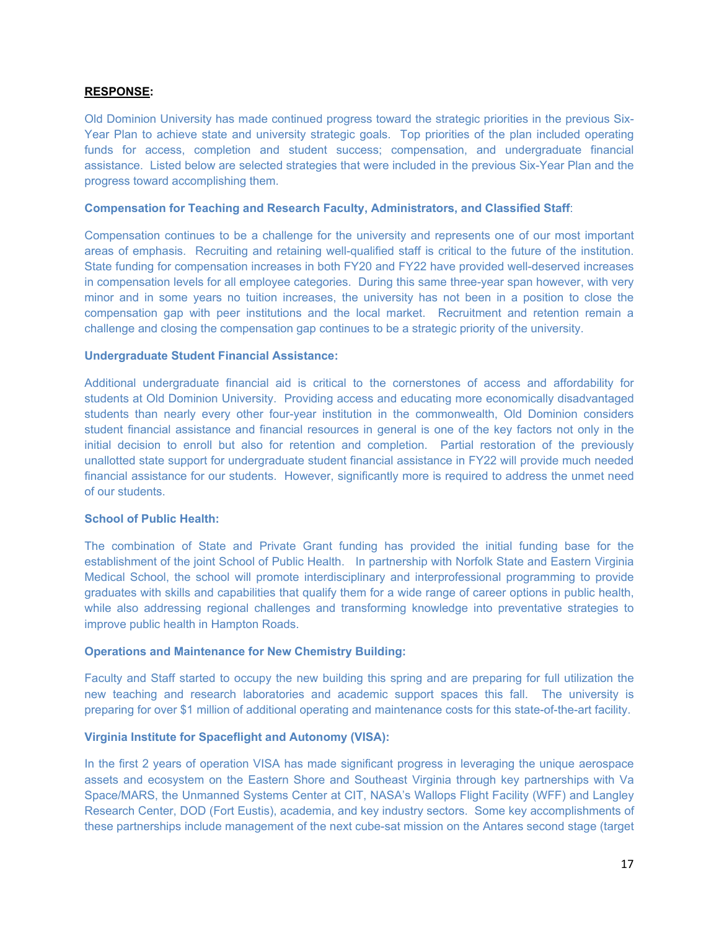#### **RESPONSE:**

Old Dominion University has made continued progress toward the strategic priorities in the previous Six-Year Plan to achieve state and university strategic goals. Top priorities of the plan included operating funds for access, completion and student success; compensation, and undergraduate financial assistance. Listed below are selected strategies that were included in the previous Six-Year Plan and the progress toward accomplishing them.

#### **Compensation for Teaching and Research Faculty, Administrators, and Classified Staff**:

Compensation continues to be a challenge for the university and represents one of our most important areas of emphasis. Recruiting and retaining well-qualified staff is critical to the future of the institution. State funding for compensation increases in both FY20 and FY22 have provided well-deserved increases in compensation levels for all employee categories. During this same three-year span however, with very minor and in some years no tuition increases, the university has not been in a position to close the compensation gap with peer institutions and the local market. Recruitment and retention remain a challenge and closing the compensation gap continues to be a strategic priority of the university.

#### **Undergraduate Student Financial Assistance:**

Additional undergraduate financial aid is critical to the cornerstones of access and affordability for students at Old Dominion University. Providing access and educating more economically disadvantaged students than nearly every other four-year institution in the commonwealth, Old Dominion considers student financial assistance and financial resources in general is one of the key factors not only in the initial decision to enroll but also for retention and completion. Partial restoration of the previously unallotted state support for undergraduate student financial assistance in FY22 will provide much needed financial assistance for our students. However, significantly more is required to address the unmet need of our students.

#### **School of Public Health:**

The combination of State and Private Grant funding has provided the initial funding base for the establishment of the joint School of Public Health. In partnership with Norfolk State and Eastern Virginia Medical School, the school will promote interdisciplinary and interprofessional programming to provide graduates with skills and capabilities that qualify them for a wide range of career options in public health, while also addressing regional challenges and transforming knowledge into preventative strategies to improve public health in Hampton Roads.

#### **Operations and Maintenance for New Chemistry Building:**

Faculty and Staff started to occupy the new building this spring and are preparing for full utilization the new teaching and research laboratories and academic support spaces this fall. The university is preparing for over \$1 million of additional operating and maintenance costs for this state-of-the-art facility.

#### **Virginia Institute for Spaceflight and Autonomy (VISA):**

In the first 2 years of operation VISA has made significant progress in leveraging the unique aerospace assets and ecosystem on the Eastern Shore and Southeast Virginia through key partnerships with Va Space/MARS, the Unmanned Systems Center at CIT, NASA's Wallops Flight Facility (WFF) and Langley Research Center, DOD (Fort Eustis), academia, and key industry sectors. Some key accomplishments of these partnerships include management of the next cube-sat mission on the Antares second stage (target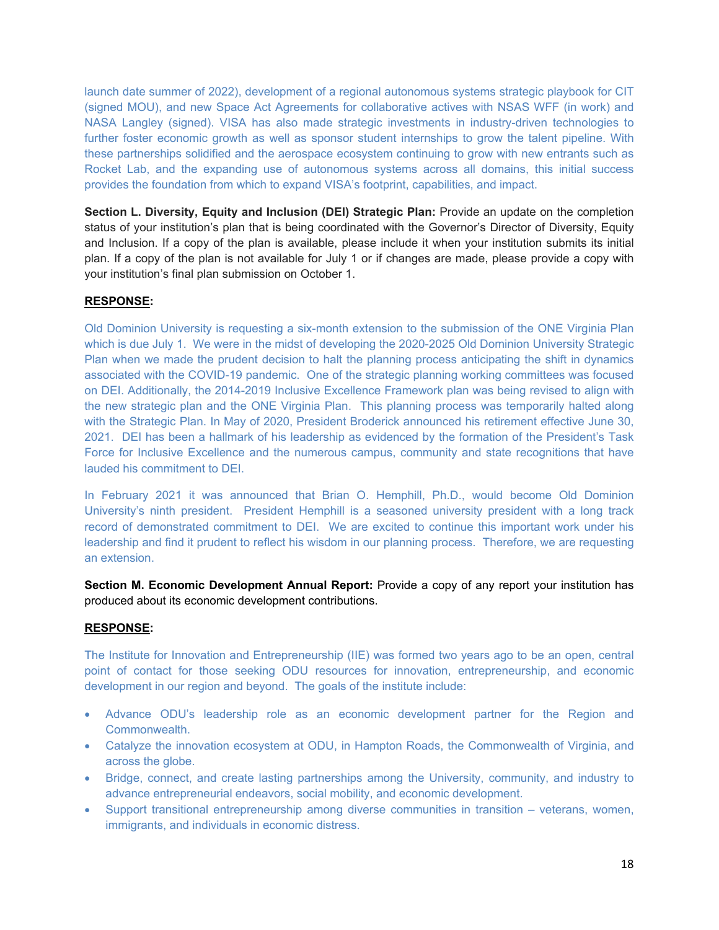launch date summer of 2022), development of a regional autonomous systems strategic playbook for CIT (signed MOU), and new Space Act Agreements for collaborative actives with NSAS WFF (in work) and NASA Langley (signed). VISA has also made strategic investments in industry-driven technologies to further foster economic growth as well as sponsor student internships to grow the talent pipeline. With these partnerships solidified and the aerospace ecosystem continuing to grow with new entrants such as Rocket Lab, and the expanding use of autonomous systems across all domains, this initial success provides the foundation from which to expand VISA's footprint, capabilities, and impact.

**Section L. Diversity, Equity and Inclusion (DEI) Strategic Plan:** Provide an update on the completion status of your institution's plan that is being coordinated with the Governor's Director of Diversity, Equity and Inclusion. If a copy of the plan is available, please include it when your institution submits its initial plan. If a copy of the plan is not available for July 1 or if changes are made, please provide a copy with your institution's final plan submission on October 1.

## **RESPONSE:**

Old Dominion University is requesting a six-month extension to the submission of the ONE Virginia Plan which is due July 1. We were in the midst of developing the 2020-2025 Old Dominion University Strategic Plan when we made the prudent decision to halt the planning process anticipating the shift in dynamics associated with the COVID-19 pandemic. One of the strategic planning working committees was focused on DEI. Additionally, the 2014-2019 Inclusive Excellence Framework plan was being revised to align with the new strategic plan and the ONE Virginia Plan. This planning process was temporarily halted along with the Strategic Plan. In May of 2020, President Broderick announced his retirement effective June 30, 2021. DEI has been a hallmark of his leadership as evidenced by the formation of the President's Task Force for Inclusive Excellence and the numerous campus, community and state recognitions that have lauded his commitment to DEI.

In February 2021 it was announced that Brian O. Hemphill, Ph.D., would become Old Dominion University's ninth president. President Hemphill is a seasoned university president with a long track record of demonstrated commitment to DEI. We are excited to continue this important work under his leadership and find it prudent to reflect his wisdom in our planning process. Therefore, we are requesting an extension.

**Section M. Economic Development Annual Report:** Provide a copy of any report your institution has produced about its economic development contributions.

#### **RESPONSE:**

The Institute for Innovation and Entrepreneurship (IIE) was formed two years ago to be an open, central point of contact for those seeking ODU resources for innovation, entrepreneurship, and economic development in our region and beyond. The goals of the institute include:

- Advance ODU's leadership role as an economic development partner for the Region and Commonwealth.
- Catalyze the innovation ecosystem at ODU, in Hampton Roads, the Commonwealth of Virginia, and across the globe.
- Bridge, connect, and create lasting partnerships among the University, community, and industry to advance entrepreneurial endeavors, social mobility, and economic development.
- Support transitional entrepreneurship among diverse communities in transition veterans, women, immigrants, and individuals in economic distress.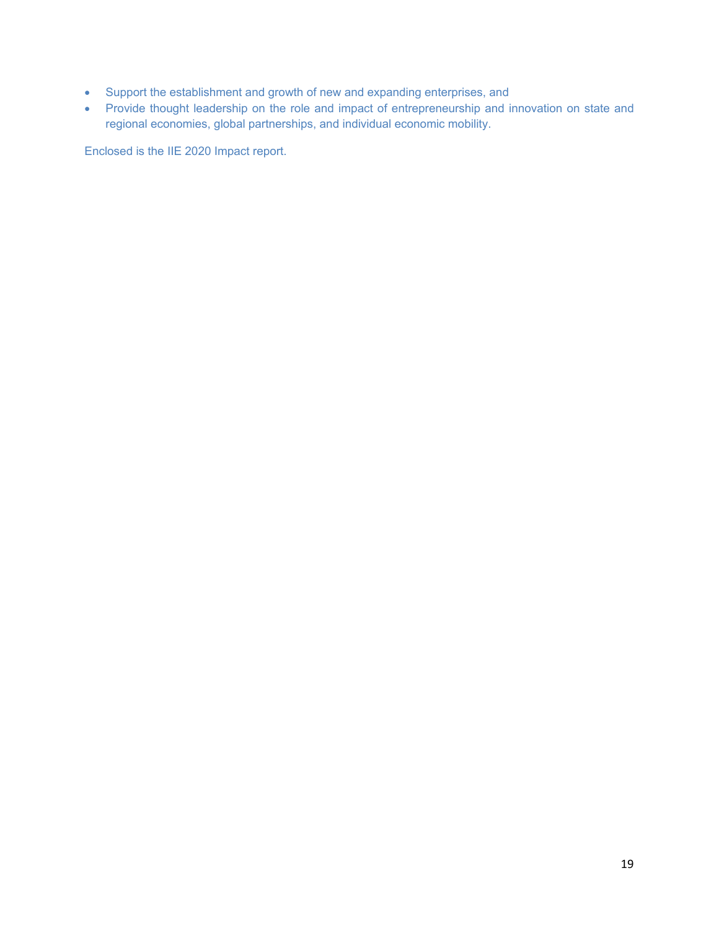- Support the establishment and growth of new and expanding enterprises, and
- Provide thought leadership on the role and impact of entrepreneurship and innovation on state and regional economies, global partnerships, and individual economic mobility.

Enclosed is the IIE 2020 Impact report.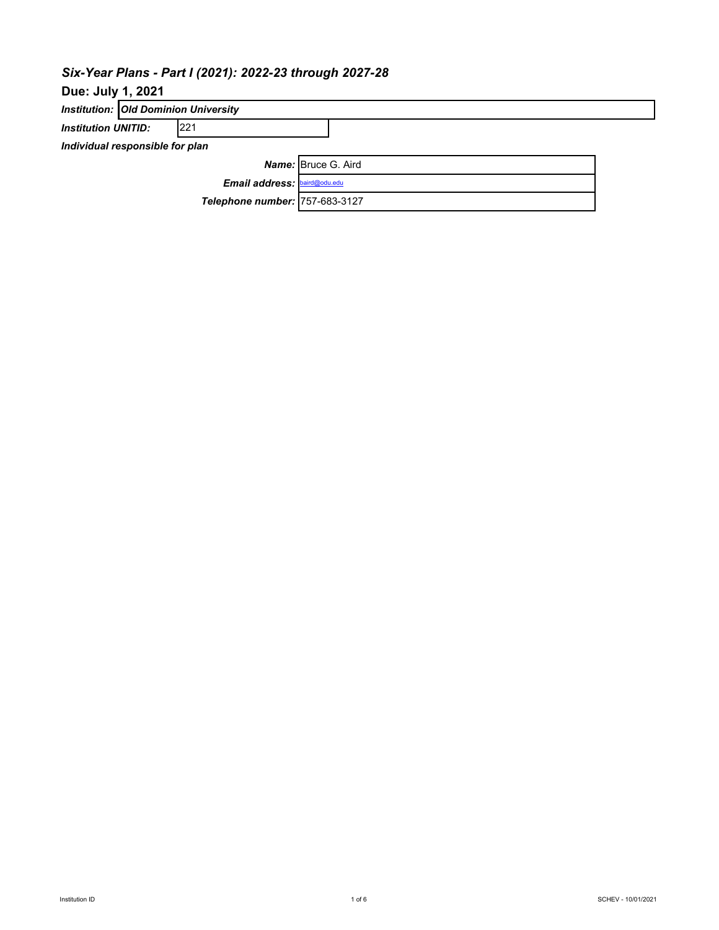# *Six-Year Plans - Part I (2021): 2022-23 through 2027-28*

# **Due: July 1, 2021**

| <b>Institution: Old Dominion University</b> |                                |                            |  |  |  |  |  |  |  |
|---------------------------------------------|--------------------------------|----------------------------|--|--|--|--|--|--|--|
| 221<br><b>Institution UNITID:</b>           |                                |                            |  |  |  |  |  |  |  |
| Individual responsible for plan             |                                |                            |  |  |  |  |  |  |  |
|                                             |                                | <b>Name:</b> Bruce G. Aird |  |  |  |  |  |  |  |
|                                             | Email address: baird@odu.edu   |                            |  |  |  |  |  |  |  |
|                                             | Telephone number: 757-683-3127 |                            |  |  |  |  |  |  |  |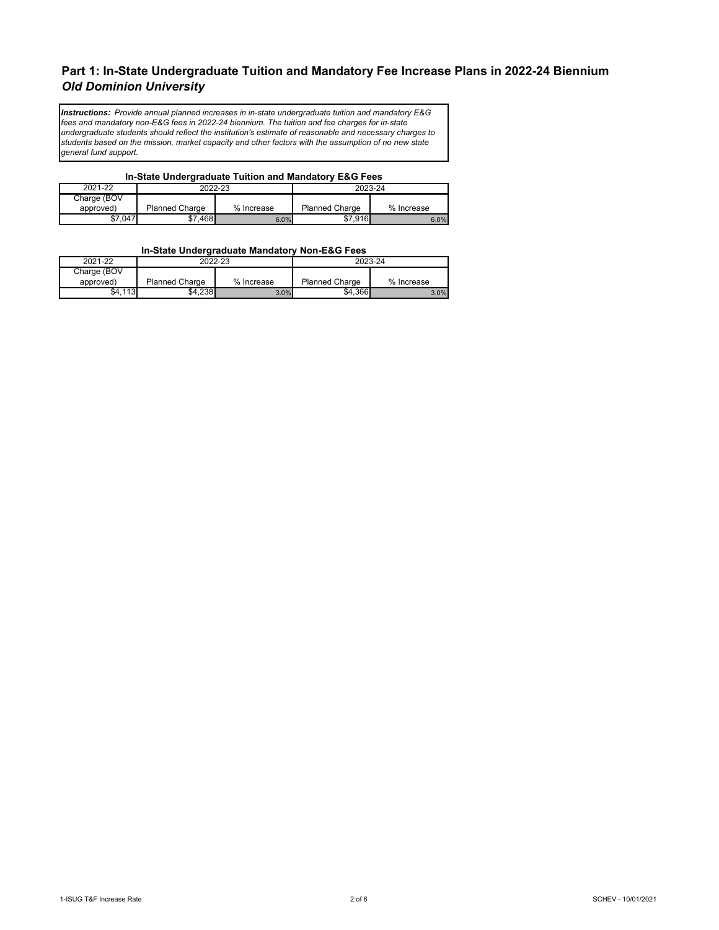## **Part 1: In-State Undergraduate Tuition and Mandatory Fee Increase Plans in 2022-24 Biennium** *Old Dominion University*

*Instructions: Provide annual planned increases in in-state undergraduate tuition and mandatory E&G fees and mandatory non-E&G fees in 2022-24 biennium. The tuition and fee charges for in-state undergraduate students should reflect the institution's estimate of reasonable and necessary charges to students based on the mission, market capacity and other factors with the assumption of no new state general fund support.*

#### **In-State Undergraduate Tuition and Mandatory E&G Fees**

| 2021-22     |                | 2022-23    | 2023-24               |            |  |  |
|-------------|----------------|------------|-----------------------|------------|--|--|
| Charge (BOV |                |            |                       |            |  |  |
| approved)   | Planned Charge | % Increase | <b>Planned Charge</b> | % Increase |  |  |
| \$7,047     | \$7.468        | 6.0%       | \$7,916               | 6.0%       |  |  |

#### **In-State Undergraduate Mandatory Non-E&G Fees**

| 2021-22     |                       | 2022-23    | 2023-24               |            |  |
|-------------|-----------------------|------------|-----------------------|------------|--|
| Charge (BOV |                       |            |                       |            |  |
| approved)   | <b>Planned Charge</b> | % Increase | <b>Planned Charge</b> | % Increase |  |
| \$4.113     | \$4,238               | 3.0%       | \$4,366               | 3.0%       |  |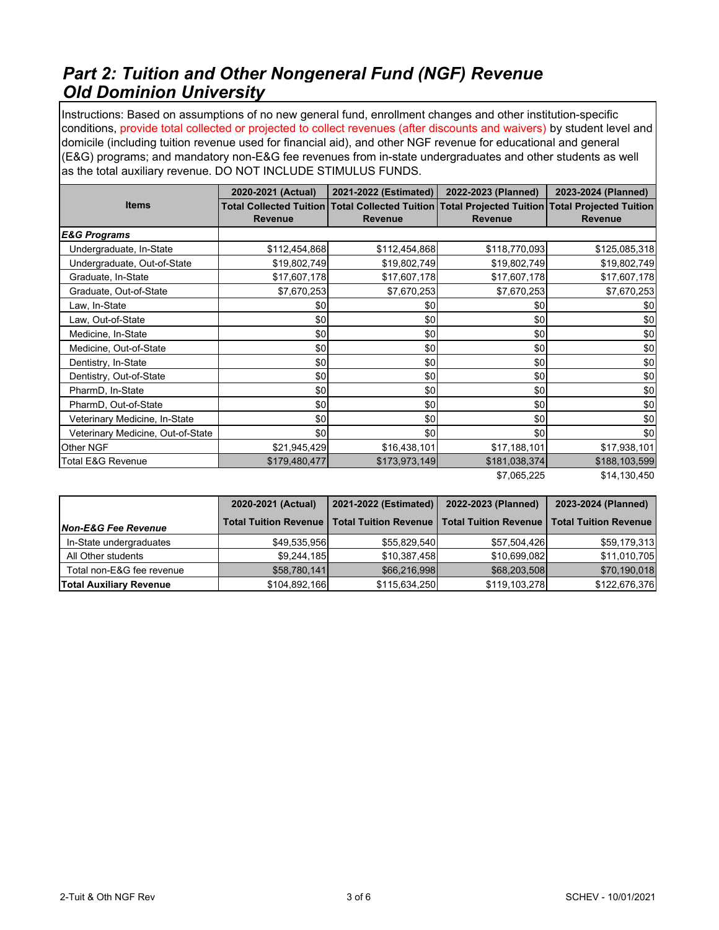# *Part 2: Tuition and Other Nongeneral Fund (NGF) Revenue Old Dominion University*

Instructions: Based on assumptions of no new general fund, enrollment changes and other institution-specific conditions, provide total collected or projected to collect revenues (after discounts and waivers) by student level and domicile (including tuition revenue used for financial aid), and other NGF revenue for educational and general (E&G) programs; and mandatory non-E&G fee revenues from in-state undergraduates and other students as well as the total auxiliary revenue. DO NOT INCLUDE STIMULUS FUNDS.

|                                   | 2020-2021 (Actual) | 2021-2022 (Estimated) | 2022-2023 (Planned) | 2023-2024 (Planned)                                                                                               |  |
|-----------------------------------|--------------------|-----------------------|---------------------|-------------------------------------------------------------------------------------------------------------------|--|
| <b>Items</b>                      | <b>Revenue</b>     | <b>Revenue</b>        | <b>Revenue</b>      | Total Collected Tuition Total Collected Tuition Total Projected Tuition Total Projected Tuition<br><b>Revenue</b> |  |
| <b>E&amp;G Programs</b>           |                    |                       |                     |                                                                                                                   |  |
| Undergraduate, In-State           | \$112,454,868      | \$112,454,868         | \$118,770,093       | \$125,085,318                                                                                                     |  |
| Undergraduate, Out-of-State       | \$19,802,749       | \$19,802,749          | \$19,802,749        | \$19,802,749                                                                                                      |  |
| Graduate, In-State                | \$17,607,178       | \$17,607,178          | \$17,607,178        | \$17,607,178                                                                                                      |  |
| Graduate, Out-of-State            | \$7,670,253        | \$7,670,253           | \$7,670,253         | \$7,670,253                                                                                                       |  |
| Law, In-State                     | \$0                | \$0                   | \$0                 | \$0                                                                                                               |  |
| Law, Out-of-State                 | \$0                | \$0                   | \$0                 | \$0                                                                                                               |  |
| Medicine, In-State                | \$0                | \$0                   | \$0                 | \$0                                                                                                               |  |
| Medicine, Out-of-State            | \$0                | \$0                   | \$0                 | \$0                                                                                                               |  |
| Dentistry, In-State               | \$0                | \$0                   | \$0                 | \$0                                                                                                               |  |
| Dentistry, Out-of-State           | \$0                | \$0                   | \$0                 | \$0                                                                                                               |  |
| PharmD, In-State                  | \$0                | \$0                   | \$0                 | \$0                                                                                                               |  |
| PharmD, Out-of-State              | \$0                | \$0                   | \$0                 | \$0                                                                                                               |  |
| Veterinary Medicine, In-State     | \$0                | \$0                   | \$0                 | \$0                                                                                                               |  |
| Veterinary Medicine, Out-of-State | \$0                | \$0                   | \$0                 | \$0                                                                                                               |  |
| Other NGF                         | \$21,945,429       | \$16,438,101          | \$17,188,101        | \$17,938,101                                                                                                      |  |
| <b>Total E&amp;G Revenue</b>      | \$179,480,477      | \$173,973,149         | \$181,038,374       | \$188,103,599                                                                                                     |  |

\$7,065,225 \$14,130,450

|                                | 2020-2021 (Actual) | 2021-2022 (Estimated)                                                                         | 2022-2023 (Planned) | 2023-2024 (Planned) |
|--------------------------------|--------------------|-----------------------------------------------------------------------------------------------|---------------------|---------------------|
| <b>Non-E&amp;G Fee Revenue</b> |                    | Total Tuition Revenue   Total Tuition Revenue   Total Tuition Revenue   Total Tuition Revenue |                     |                     |
| In-State undergraduates        | \$49,535,956       | \$55,829,540                                                                                  | \$57,504,426        | \$59,179,313        |
| All Other students             | \$9,244,185        | \$10,387,458                                                                                  | \$10,699,082        | \$11,010,705        |
| Total non-E&G fee revenue      | \$58,780,141       | \$66,216,998                                                                                  | \$68,203,508        | \$70,190,018        |
| <b>Total Auxiliary Revenue</b> | \$104,892,166      | \$115,634,250                                                                                 | \$119,103,278       | \$122,676,376       |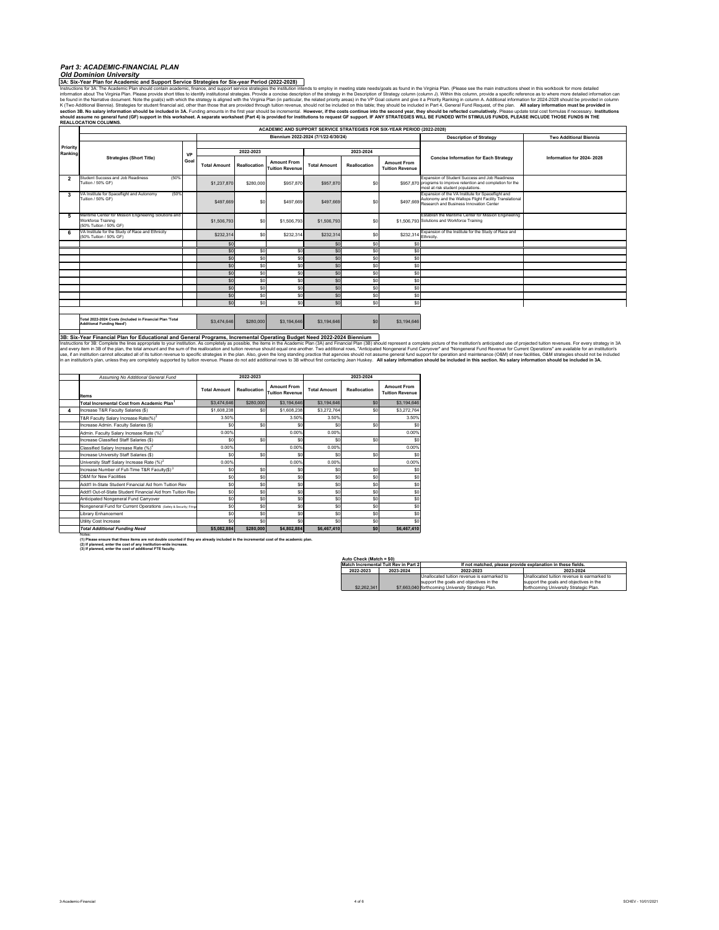#### *Part 3: ACADEMIC-FINANCIAL PLAN*

#### **3A: Six-Year Plan for Academic and Support Service Strategies for Six-year Period (2022-2028)** *Old Dominion University*

instructions for 3dx. The Academic Plan should contain academic, finance, and support servicte strategies. Provide a concise description of the strategy in the Description of Strategy column (column, ). Within this column,

|                |                                                                                                       |           |                     |              |                                              | ACADEMIC AND SUPPORT SERVICE STRATEGIES FOR SIX-YEAR PERIOD (2022-2028) |              |                                              |                                                                                                                                                                  |                               |
|----------------|-------------------------------------------------------------------------------------------------------|-----------|---------------------|--------------|----------------------------------------------|-------------------------------------------------------------------------|--------------|----------------------------------------------|------------------------------------------------------------------------------------------------------------------------------------------------------------------|-------------------------------|
|                |                                                                                                       |           |                     |              |                                              | Biennium 2022-2024 (7/1/22-6/30/24)                                     |              |                                              | <b>Description of Strategy</b>                                                                                                                                   | <b>Two Additional Biennia</b> |
| Priority       |                                                                                                       |           |                     |              |                                              |                                                                         |              |                                              |                                                                                                                                                                  |                               |
| Ranking        |                                                                                                       | <b>VP</b> |                     | 2022-2023    |                                              |                                                                         | 2023-2024    |                                              |                                                                                                                                                                  |                               |
|                | <b>Strategies (Short Title)</b>                                                                       | Goal      | <b>Total Amount</b> | Reallocation | <b>Amount From</b><br><b>Tuition Revenue</b> | <b>Total Amount</b>                                                     | Reallocation | <b>Amount From</b><br><b>Tuition Revenue</b> | <b>Concise Information for Each Strategy</b>                                                                                                                     | Information for 2024-2028     |
| $\overline{2}$ | Student Success and Job Readiness<br>(50%)<br>Tuition / 50% GF)                                       |           | \$1,237,870         | \$280,000    | \$957,870                                    | \$957,870                                                               | \$0          |                                              | Expansion of Student Success and Job Readiness<br>\$957.870 programs to improve retention and completion for the<br>most at risk student populations.            |                               |
| 3              | (50%)<br>VA Institute for Spaceflight and Autonomy<br>Tuition / 50% GF)                               |           | \$497,669           | \$0          | \$497,669                                    | \$497,669                                                               | \$0          |                                              | Expansion of the VA Institute for Spaceflight and<br>Autonomy and the Wallops Flight Facility Translational<br>\$497,669 Research and Business Innovation Center |                               |
| 5              | Maritime Center for Mission Engineering Solutions and<br>Workforce Training<br>(50% Tuition / 50% GF) |           | \$1,506,793         | \$0          | \$1,506,793                                  | \$1,506,793                                                             | \$0          |                                              | Establish the Maritime Center for Mission Engineering<br>\$1.506.793 Solutions and Workforce Training                                                            |                               |
| 6              | VA Institute for the Study of Race and Ethnicity<br>(50% Tuition / 50% GF)                            |           | \$232,314           | \$0          | \$232,314                                    | \$232,314                                                               | \$0          |                                              | \$232,314 Expansion of the Institute for the Study of Race and                                                                                                   |                               |
|                |                                                                                                       |           | <sub>SC</sub>       |              |                                              | \$0                                                                     | \$O          | \$ſ                                          |                                                                                                                                                                  |                               |
|                |                                                                                                       |           | \$0                 | \$0          | snl                                          | \$0                                                                     | \$0          | S <sub>0</sub>                               |                                                                                                                                                                  |                               |
|                |                                                                                                       |           | \$0                 | \$0          | <b>SO</b>                                    | \$0                                                                     | \$0          | S <sub>0</sub>                               |                                                                                                                                                                  |                               |
|                |                                                                                                       |           | \$0                 | \$0          | \$0                                          | \$0                                                                     | \$0          | S <sub>0</sub>                               |                                                                                                                                                                  |                               |
|                |                                                                                                       |           | \$0                 | \$0          | snl                                          | \$0                                                                     | \$0          | \$0                                          |                                                                                                                                                                  |                               |
|                |                                                                                                       |           | \$0                 | \$0          | \$0                                          | \$0                                                                     | \$0          | \$0                                          |                                                                                                                                                                  |                               |
|                |                                                                                                       |           | \$0                 | \$0          | \$0                                          | \$0                                                                     | \$0          | \$0                                          |                                                                                                                                                                  |                               |
|                |                                                                                                       |           | \$C                 | \$0          | \$0                                          | \$0                                                                     | \$0          | S <sub>0</sub>                               |                                                                                                                                                                  |                               |
|                |                                                                                                       |           | \$0                 | \$0          | <b>SO</b>                                    | \$0                                                                     | \$0          | \$0                                          |                                                                                                                                                                  |                               |
|                | Total 2022 2024 Coots (Included in Eineneigl Blog Total                                               |           |                     |              |                                              |                                                                         |              |                                              |                                                                                                                                                                  |                               |

**Total 2022-2024 Costs (Included in Financial Plan 'Total \$3,474,646** \$280,000 \$3,194,646 \$3,194,646 \$0 \$3,194,646

3B: Six-Year Financial Plan for Educational and General Programs, Incremental Operating Budget Need 2022-2024 Biennium<br>Instructions for 3B: Complete internal proprovide the proposition of the signitum As prompted internal

|   | Assuming No Additional General Fund                               |                     | 2022-2023    |                                              |                     | 2023-2024    |                                              |  |  |
|---|-------------------------------------------------------------------|---------------------|--------------|----------------------------------------------|---------------------|--------------|----------------------------------------------|--|--|
|   | <b>Items</b>                                                      | <b>Total Amount</b> | Reallocation | <b>Amount From</b><br><b>Tuition Revenue</b> | <b>Total Amount</b> | Reallocation | <b>Amount From</b><br><b>Tuition Revenue</b> |  |  |
|   | Total Incremental Cost from Academic Plan <sup>1</sup>            | \$3,474,646         | \$280,000    | \$3,194,646                                  | \$3,194,646         | \$0          | \$3,194,646                                  |  |  |
| 4 | Increase T&R Faculty Salaries (\$)                                | \$1,608,238         | \$0          | \$1,608,238                                  | \$3,272,764         | \$0          | \$3,272,764                                  |  |  |
|   | T&R Faculty Salary Increase Rate(%) <sup>2</sup>                  | 3.50%               |              | 3.50%                                        | 3.50%               |              | 3.50%                                        |  |  |
|   | Increase Admin. Faculty Salaries (\$)                             | \$0                 | \$0          | \$ſ                                          | \$0                 | \$0          | \$0                                          |  |  |
|   | Admin. Faculty Salary Increase Rate (%) <sup>2</sup>              | 0.00%               |              | 0.00%                                        | 0.00%               |              | 0.00%                                        |  |  |
|   | Increase Classified Staff Salaries (\$)                           | \$O                 | \$0          | \$0                                          | \$0                 | \$0          | \$0                                          |  |  |
|   | Classified Salary Increase Rate (%) <sup>2</sup>                  | 0.00%               |              | 0.00%                                        | 0.00%               |              | 0.00%                                        |  |  |
|   | Increase University Staff Salaries (\$)                           | \$O                 | \$0          | \$ſ                                          | \$0                 | \$0          | \$0                                          |  |  |
|   | University Staff Salary Increase Rate (%) <sup>2</sup>            | 0.00%               |              | 0.00%                                        | 0.00%               |              | 0.00%                                        |  |  |
|   | Increase Number of Full-Time T&R Faculty(\$) <sup>3</sup>         | \$0                 | \$0          | \$C                                          | \$0                 | \$0          | \$0                                          |  |  |
|   | O&M for New Facilities                                            | \$0                 | \$0          | \$0                                          | \$0                 | \$0          | \$0                                          |  |  |
|   | Addt'l In-State Student Financial Aid from Tuition Rev            | \$O                 | \$0          | \$O                                          | \$0                 | \$0          | \$0                                          |  |  |
|   | Addt'l Out-of-State Student Financial Aid from Tuition Rev        | \$0                 | \$0          | \$0                                          | \$0                 | \$0          | \$0                                          |  |  |
|   | Anticipated Nongeneral Fund Carryover                             | \$0                 | \$0          | \$0                                          | \$0                 | \$0          | \$0                                          |  |  |
|   | Nongeneral Fund for Current Operations (Safety & Security, Fringe | \$O                 | \$0          | \$0                                          | \$0                 | \$0          | \$0                                          |  |  |
|   | Library Enhancement                                               | \$0                 | \$0          | \$0                                          | \$0                 | \$0          | \$0                                          |  |  |
|   | Utility Cost Increase                                             | \$0                 | \$0          | \$0                                          | \$0                 | \$0          | \$0                                          |  |  |
|   | <b>Total Additional Funding Need</b>                              | \$5,082,884         | \$280,000    | \$4,802,884                                  | \$6,467,410         | \$0          | \$6,467,410                                  |  |  |

Notes: (1) Please ensure that these items are not double counted if they are already included in the incremental cost of the academic plan.<br>(2) If planned, enter the cost of any institution-wide increase.<br>(3) If planned, enter th

| Auto Check (Match = \$0) |                                      |                                                             |                                             |  |  |  |  |  |  |  |
|--------------------------|--------------------------------------|-------------------------------------------------------------|---------------------------------------------|--|--|--|--|--|--|--|
|                          | Match Incremental Tuit Rev in Part 2 | If not matched, please provide explanation in these fields. |                                             |  |  |  |  |  |  |  |
| 2022-2023                | 2023-2024                            | 2022-2023                                                   | 2023-2024                                   |  |  |  |  |  |  |  |
|                          |                                      | Unallocated tuition revenue is earmarked to                 | Unallocated tuition revenue is earmarked to |  |  |  |  |  |  |  |
|                          |                                      | support the goals and objectives in the                     | support the goals and objectives in the     |  |  |  |  |  |  |  |
| \$2,262,341              |                                      | \$7,663,040 forthcoming University Strategic Plan.          | forthcoming University Strategic Plan.      |  |  |  |  |  |  |  |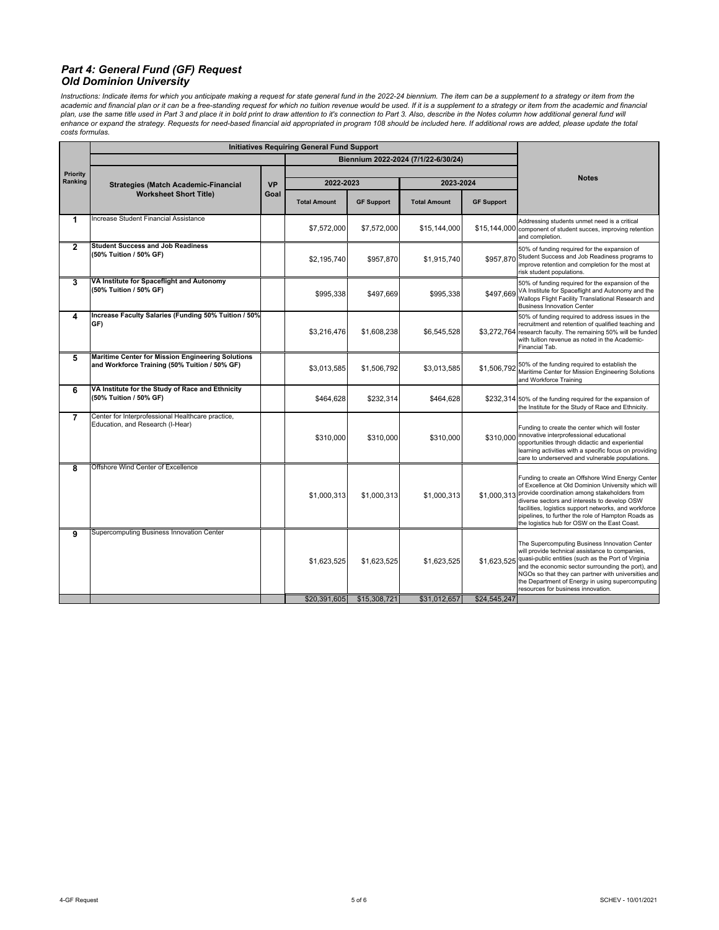#### *Part 4: General Fund (GF) Request Old Dominion University*

Instructions: Indicate items for which you anticipate making a request for state general fund in the 2022-24 biennium. The item can be a supplement to a strategy or item from the academic and financial plan or it can be a free-standing request for which no tuition revenue would be used. If it is a supplement to a strategy or item from the academic and financial plan, use the same title used in Part 3 and place it in bold print to draw attention to ti's connection to Part 3. Also, describe in the Notes column how additional general fund will<br>enhance or expand the strategy. Request *costs formulas.*

| Biennium 2022-2024 (7/1/22-6/30/24)<br><b>Priority</b><br><b>Notes</b><br>Ranking<br>2022-2023<br>2023-2024<br><b>VP</b><br><b>Strategies (Match Academic-Financial</b><br><b>Worksheet Short Title)</b><br>Goal<br><b>GF Support</b><br><b>GF Support</b><br><b>Total Amount</b><br><b>Total Amount</b><br>Increase Student Financial Assistance<br>1<br>Addressing students unmet need is a critical<br>\$7,572,000<br>\$7,572,000<br>\$15,144,000<br>\$15,144,000 component of student succes, improving retention<br>and completion.<br><b>Student Success and Job Readiness</b><br>$\mathbf{2}$<br>50% of funding required for the expansion of<br>(50% Tuition / 50% GF)<br>\$957,870 Student Success and Job Readiness programs to<br>\$2,195,740<br>\$957,870<br>\$1,915,740<br>improve retention and completion for the most at<br>risk student populations.<br>VA Institute for Spaceflight and Autonomy<br>3<br>50% of funding required for the expansion of the<br>(50% Tuition / 50% GF)<br>VA Institute for Spaceflight and Autonomy and the<br>\$995,338<br>\$497.669<br>\$995,338<br>\$497.669<br>Wallops Flight Facility Translational Research and<br><b>Business Innovation Center</b><br>Increase Faculty Salaries (Funding 50% Tuition / 50%<br>4<br>50% of funding required to address issues in the<br>GF)<br>recruitment and retention of qualified teaching and<br>\$3,216,476<br>\$1,608,238<br>\$6,545,528<br>\$3,272,764<br>with tuition revenue as noted in the Academic-<br>Financial Tab.<br><b>Maritime Center for Mission Engineering Solutions</b><br>5<br>50% of the funding required to establish the<br>and Workforce Training (50% Tuition / 50% GF)<br>\$1,506,792<br>\$1,506,792<br>\$3,013,585<br>\$3,013,585<br>Maritime Center for Mission Engineering Solutions<br>and Workforce Training<br>VA Institute for the Study of Race and Ethnicity<br>6<br>(50% Tuition / 50% GF)<br>\$232,314<br>\$464,628<br>\$464,628<br>\$232,314 50% of the funding required for the expansion of<br>the Institute for the Study of Race and Ethnicity.<br>Center for Interprofessional Healthcare practice,<br>$\overline{7}$<br>Education, and Research (I-Hear)<br>Funding to create the center which will foster<br>\$310,000 innovative interprofessional educational<br>\$310,000<br>\$310,000<br>\$310,000<br>opportunities through didactic and experiential<br>care to underserved and vulnerable populations.<br>Offshore Wind Center of Excellence<br>8<br>Funding to create an Offshore Wind Energy Center<br>\$1,000,313 provide coordination among stakeholders from<br>\$1,000,313<br>\$1,000.313<br>\$1,000,313<br>diverse sectors and interests to develop OSW<br>facilities, logistics support networks, and workforce<br>pipelines, to further the role of Hampton Roads as<br>the logistics hub for OSW on the East Coast.<br>Supercomputing Business Innovation Center<br>9<br>The Supercomputing Business Innovation Center<br>will provide technical assistance to companies,<br>quasi-public entities (such as the Port of Virginia<br>\$1,623,525<br>\$1,623,525<br>\$1,623,525<br>\$1,623,525<br>resources for business innovation.<br>\$20,391,605<br>\$31,012,657<br>\$24,545,247<br>\$15,308,721 | <b>Initiatives Requiring General Fund Support</b> |  |  |  |  |                                                                                                                                                               |
|-----------------------------------------------------------------------------------------------------------------------------------------------------------------------------------------------------------------------------------------------------------------------------------------------------------------------------------------------------------------------------------------------------------------------------------------------------------------------------------------------------------------------------------------------------------------------------------------------------------------------------------------------------------------------------------------------------------------------------------------------------------------------------------------------------------------------------------------------------------------------------------------------------------------------------------------------------------------------------------------------------------------------------------------------------------------------------------------------------------------------------------------------------------------------------------------------------------------------------------------------------------------------------------------------------------------------------------------------------------------------------------------------------------------------------------------------------------------------------------------------------------------------------------------------------------------------------------------------------------------------------------------------------------------------------------------------------------------------------------------------------------------------------------------------------------------------------------------------------------------------------------------------------------------------------------------------------------------------------------------------------------------------------------------------------------------------------------------------------------------------------------------------------------------------------------------------------------------------------------------------------------------------------------------------------------------------------------------------------------------------------------------------------------------------------------------------------------------------------------------------------------------------------------------------------------------------------------------------------------------------------------------------------------------------------------------------------------------------------------------------------------------------------------------------------------------------------------------------------------------------------------------------------------------------------------------------------------------------------------------------------------------------------------------------------------------------------------------------------------------------------------------------------------------------------------------------------------------------------------------------------------|---------------------------------------------------|--|--|--|--|---------------------------------------------------------------------------------------------------------------------------------------------------------------|
|                                                                                                                                                                                                                                                                                                                                                                                                                                                                                                                                                                                                                                                                                                                                                                                                                                                                                                                                                                                                                                                                                                                                                                                                                                                                                                                                                                                                                                                                                                                                                                                                                                                                                                                                                                                                                                                                                                                                                                                                                                                                                                                                                                                                                                                                                                                                                                                                                                                                                                                                                                                                                                                                                                                                                                                                                                                                                                                                                                                                                                                                                                                                                                                                                                                           |                                                   |  |  |  |  |                                                                                                                                                               |
|                                                                                                                                                                                                                                                                                                                                                                                                                                                                                                                                                                                                                                                                                                                                                                                                                                                                                                                                                                                                                                                                                                                                                                                                                                                                                                                                                                                                                                                                                                                                                                                                                                                                                                                                                                                                                                                                                                                                                                                                                                                                                                                                                                                                                                                                                                                                                                                                                                                                                                                                                                                                                                                                                                                                                                                                                                                                                                                                                                                                                                                                                                                                                                                                                                                           |                                                   |  |  |  |  |                                                                                                                                                               |
|                                                                                                                                                                                                                                                                                                                                                                                                                                                                                                                                                                                                                                                                                                                                                                                                                                                                                                                                                                                                                                                                                                                                                                                                                                                                                                                                                                                                                                                                                                                                                                                                                                                                                                                                                                                                                                                                                                                                                                                                                                                                                                                                                                                                                                                                                                                                                                                                                                                                                                                                                                                                                                                                                                                                                                                                                                                                                                                                                                                                                                                                                                                                                                                                                                                           |                                                   |  |  |  |  |                                                                                                                                                               |
|                                                                                                                                                                                                                                                                                                                                                                                                                                                                                                                                                                                                                                                                                                                                                                                                                                                                                                                                                                                                                                                                                                                                                                                                                                                                                                                                                                                                                                                                                                                                                                                                                                                                                                                                                                                                                                                                                                                                                                                                                                                                                                                                                                                                                                                                                                                                                                                                                                                                                                                                                                                                                                                                                                                                                                                                                                                                                                                                                                                                                                                                                                                                                                                                                                                           |                                                   |  |  |  |  |                                                                                                                                                               |
|                                                                                                                                                                                                                                                                                                                                                                                                                                                                                                                                                                                                                                                                                                                                                                                                                                                                                                                                                                                                                                                                                                                                                                                                                                                                                                                                                                                                                                                                                                                                                                                                                                                                                                                                                                                                                                                                                                                                                                                                                                                                                                                                                                                                                                                                                                                                                                                                                                                                                                                                                                                                                                                                                                                                                                                                                                                                                                                                                                                                                                                                                                                                                                                                                                                           |                                                   |  |  |  |  |                                                                                                                                                               |
|                                                                                                                                                                                                                                                                                                                                                                                                                                                                                                                                                                                                                                                                                                                                                                                                                                                                                                                                                                                                                                                                                                                                                                                                                                                                                                                                                                                                                                                                                                                                                                                                                                                                                                                                                                                                                                                                                                                                                                                                                                                                                                                                                                                                                                                                                                                                                                                                                                                                                                                                                                                                                                                                                                                                                                                                                                                                                                                                                                                                                                                                                                                                                                                                                                                           |                                                   |  |  |  |  |                                                                                                                                                               |
|                                                                                                                                                                                                                                                                                                                                                                                                                                                                                                                                                                                                                                                                                                                                                                                                                                                                                                                                                                                                                                                                                                                                                                                                                                                                                                                                                                                                                                                                                                                                                                                                                                                                                                                                                                                                                                                                                                                                                                                                                                                                                                                                                                                                                                                                                                                                                                                                                                                                                                                                                                                                                                                                                                                                                                                                                                                                                                                                                                                                                                                                                                                                                                                                                                                           |                                                   |  |  |  |  |                                                                                                                                                               |
|                                                                                                                                                                                                                                                                                                                                                                                                                                                                                                                                                                                                                                                                                                                                                                                                                                                                                                                                                                                                                                                                                                                                                                                                                                                                                                                                                                                                                                                                                                                                                                                                                                                                                                                                                                                                                                                                                                                                                                                                                                                                                                                                                                                                                                                                                                                                                                                                                                                                                                                                                                                                                                                                                                                                                                                                                                                                                                                                                                                                                                                                                                                                                                                                                                                           |                                                   |  |  |  |  | research faculty. The remaining 50% will be funded                                                                                                            |
|                                                                                                                                                                                                                                                                                                                                                                                                                                                                                                                                                                                                                                                                                                                                                                                                                                                                                                                                                                                                                                                                                                                                                                                                                                                                                                                                                                                                                                                                                                                                                                                                                                                                                                                                                                                                                                                                                                                                                                                                                                                                                                                                                                                                                                                                                                                                                                                                                                                                                                                                                                                                                                                                                                                                                                                                                                                                                                                                                                                                                                                                                                                                                                                                                                                           |                                                   |  |  |  |  |                                                                                                                                                               |
|                                                                                                                                                                                                                                                                                                                                                                                                                                                                                                                                                                                                                                                                                                                                                                                                                                                                                                                                                                                                                                                                                                                                                                                                                                                                                                                                                                                                                                                                                                                                                                                                                                                                                                                                                                                                                                                                                                                                                                                                                                                                                                                                                                                                                                                                                                                                                                                                                                                                                                                                                                                                                                                                                                                                                                                                                                                                                                                                                                                                                                                                                                                                                                                                                                                           |                                                   |  |  |  |  |                                                                                                                                                               |
|                                                                                                                                                                                                                                                                                                                                                                                                                                                                                                                                                                                                                                                                                                                                                                                                                                                                                                                                                                                                                                                                                                                                                                                                                                                                                                                                                                                                                                                                                                                                                                                                                                                                                                                                                                                                                                                                                                                                                                                                                                                                                                                                                                                                                                                                                                                                                                                                                                                                                                                                                                                                                                                                                                                                                                                                                                                                                                                                                                                                                                                                                                                                                                                                                                                           |                                                   |  |  |  |  | learning activities with a specific focus on providing                                                                                                        |
|                                                                                                                                                                                                                                                                                                                                                                                                                                                                                                                                                                                                                                                                                                                                                                                                                                                                                                                                                                                                                                                                                                                                                                                                                                                                                                                                                                                                                                                                                                                                                                                                                                                                                                                                                                                                                                                                                                                                                                                                                                                                                                                                                                                                                                                                                                                                                                                                                                                                                                                                                                                                                                                                                                                                                                                                                                                                                                                                                                                                                                                                                                                                                                                                                                                           |                                                   |  |  |  |  | of Excellence at Old Dominion University which will                                                                                                           |
|                                                                                                                                                                                                                                                                                                                                                                                                                                                                                                                                                                                                                                                                                                                                                                                                                                                                                                                                                                                                                                                                                                                                                                                                                                                                                                                                                                                                                                                                                                                                                                                                                                                                                                                                                                                                                                                                                                                                                                                                                                                                                                                                                                                                                                                                                                                                                                                                                                                                                                                                                                                                                                                                                                                                                                                                                                                                                                                                                                                                                                                                                                                                                                                                                                                           |                                                   |  |  |  |  | and the economic sector surrounding the port), and<br>NGOs so that they can partner with universities and<br>the Department of Energy in using supercomputing |